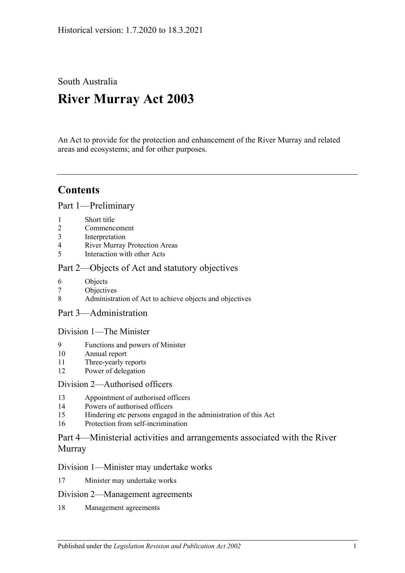South Australia

# **River Murray Act 2003**

An Act to provide for the protection and enhancement of the River Murray and related areas and ecosystems; and for other purposes.

## **Contents**

[Part 1—Preliminary](#page-2-0)

- 1 [Short title](#page-2-1)
- 2 [Commencement](#page-2-2)
- 3 [Interpretation](#page-2-3)
- 4 [River Murray Protection Areas](#page-5-0)
- 5 [Interaction with other Acts](#page-5-1)

## [Part 2—Objects of Act and statutory objectives](#page-6-0)

- 6 [Objects](#page-6-1)
- 7 [Objectives](#page-7-0)
- 8 [Administration of Act to achieve objects and objectives](#page-8-0)
- [Part 3—Administration](#page-9-0)

## [Division 1—The Minister](#page-9-1)

- 9 [Functions and powers of Minister](#page-9-2)
- 10 [Annual report](#page-11-0)
- 11 [Three-yearly reports](#page-11-1)
- 12 [Power of delegation](#page-11-2)

## [Division 2—Authorised officers](#page-12-0)

- 13 [Appointment of authorised officers](#page-12-1)
- 14 [Powers of authorised officers](#page-12-2)
- 15 [Hindering etc persons engaged in the administration of this Act](#page-14-0)
- 16 [Protection from self-incrimination](#page-15-0)

## [Part 4—Ministerial activities and arrangements associated with the River](#page-15-1)  [Murray](#page-15-1)

## [Division 1—Minister may undertake works](#page-15-2)

17 [Minister may undertake works](#page-15-3)

## [Division 2—Management agreements](#page-16-0)

18 [Management agreements](#page-16-1)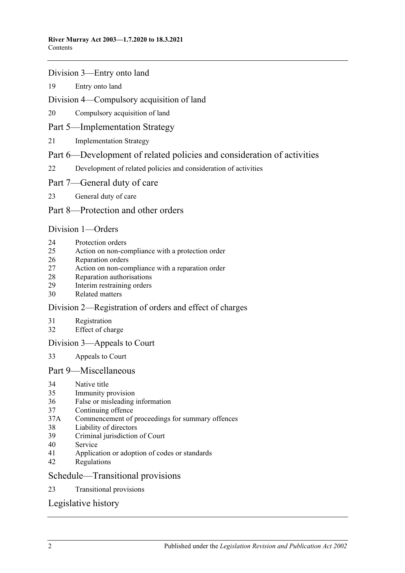#### [Division 3—Entry onto land](#page-17-0)

[Entry onto land](#page-17-1)

#### [Division 4—Compulsory acquisition of land](#page-18-0)

[Compulsory acquisition of land](#page-18-1)

## [Part 5—Implementation Strategy](#page-18-2)

[Implementation Strategy](#page-18-3)

## [Part 6—Development of related policies and consideration of activities](#page-19-0)

- [Development of related policies and consideration of activities](#page-19-1)
- [Part 7—General duty of care](#page-23-0)
- [General duty of care](#page-23-1)

## [Part 8—Protection and other orders](#page-24-0)

#### [Division 1—Orders](#page-24-1)

- [Protection orders](#page-24-2)
- [Action on non-compliance with a protection order](#page-26-0)
- [Reparation orders](#page-27-0)
- [Action on non-compliance with a reparation order](#page-28-0)
- [Reparation authorisations](#page-29-0)
- [Interim restraining orders](#page-30-0)
- [Related matters](#page-30-1)

## [Division 2—Registration of orders and effect of charges](#page-31-0)

- [Registration](#page-31-1)
- [Effect of charge](#page-32-0)

## [Division 3—Appeals to Court](#page-32-1)

[Appeals to Court](#page-32-2)

## [Part 9—Miscellaneous](#page-33-0)

- [Native title](#page-33-1)<br>35 Immunity n
- [Immunity provision](#page-33-2)
- [False or misleading information](#page-34-0)
- [Continuing offence](#page-34-1)
- 37A [Commencement of proceedings for summary offences](#page-34-2)
- [Liability of directors](#page-34-3)
- [Criminal jurisdiction of Court](#page-34-4)
- [Service](#page-35-0)
- [Application or adoption of codes or standards](#page-35-1)
- [Regulations](#page-35-2)

#### [Schedule—Transitional provisions](#page-37-0)

[Transitional provisions](#page-37-1)

## [Legislative history](#page-40-0)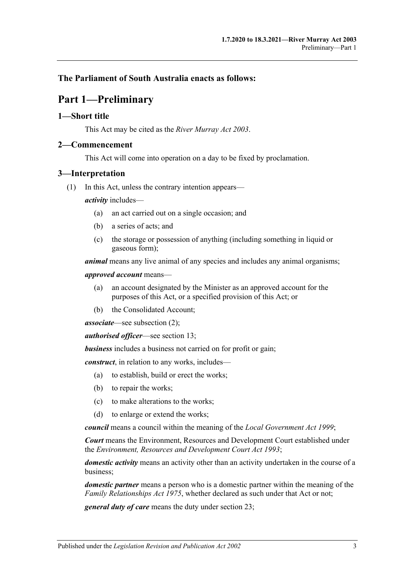## <span id="page-2-0"></span>**The Parliament of South Australia enacts as follows:**

## **Part 1—Preliminary**

#### <span id="page-2-1"></span>**1—Short title**

This Act may be cited as the *River Murray Act 2003*.

#### <span id="page-2-2"></span>**2—Commencement**

This Act will come into operation on a day to be fixed by proclamation.

#### <span id="page-2-3"></span>**3—Interpretation**

(1) In this Act, unless the contrary intention appears—

*activity* includes—

- (a) an act carried out on a single occasion; and
- (b) a series of acts; and
- (c) the storage or possession of anything (including something in liquid or gaseous form);

*animal* means any live animal of any species and includes any animal organisms;

*approved account* means—

- (a) an account designated by the Minister as an approved account for the purposes of this Act, or a specified provision of this Act; or
- (b) the Consolidated Account;

*associate*—see [subsection](#page-4-0) (2);

*authorised officer*—see [section](#page-12-1) 13;

*business* includes a business not carried on for profit or gain;

*construct*, in relation to any works, includes—

- (a) to establish, build or erect the works;
- (b) to repair the works;
- (c) to make alterations to the works;
- (d) to enlarge or extend the works;

*council* means a council within the meaning of the *[Local Government Act](http://www.legislation.sa.gov.au/index.aspx?action=legref&type=act&legtitle=Local%20Government%20Act%201999) 1999*;

*Court* means the Environment, Resources and Development Court established under the *[Environment, Resources and Development Court Act](http://www.legislation.sa.gov.au/index.aspx?action=legref&type=act&legtitle=Environment%20Resources%20and%20Development%20Court%20Act%201993) 1993*;

*domestic activity* means an activity other than an activity undertaken in the course of a business;

*domestic partner* means a person who is a domestic partner within the meaning of the *[Family Relationships Act](http://www.legislation.sa.gov.au/index.aspx?action=legref&type=act&legtitle=Family%20Relationships%20Act%201975) 1975*, whether declared as such under that Act or not;

*general duty of care* means the duty under [section](#page-23-1) 23;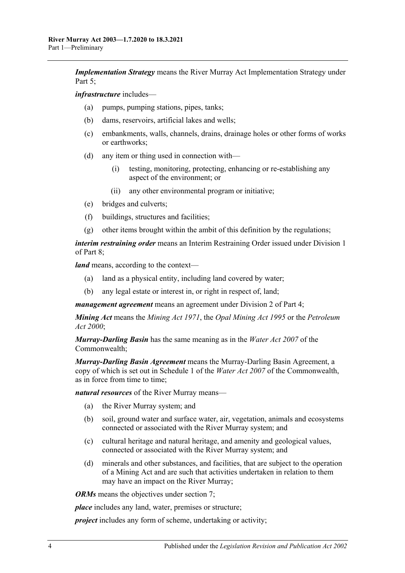*Implementation Strategy* means the River Murray Act Implementation Strategy under [Part 5;](#page-18-2)

*infrastructure* includes—

- (a) pumps, pumping stations, pipes, tanks;
- (b) dams, reservoirs, artificial lakes and wells;
- (c) embankments, walls, channels, drains, drainage holes or other forms of works or earthworks;
- (d) any item or thing used in connection with—
	- (i) testing, monitoring, protecting, enhancing or re-establishing any aspect of the environment; or
	- (ii) any other environmental program or initiative;
- (e) bridges and culverts;
- (f) buildings, structures and facilities;
- (g) other items brought within the ambit of this definition by the regulations;

*interim restraining order* means an Interim Restraining Order issued under [Division 1](#page-24-1) of [Part 8;](#page-24-0)

*land* means, according to the context—

- (a) land as a physical entity, including land covered by water;
- (b) any legal estate or interest in, or right in respect of, land;

*management agreement* means an agreement under [Division 2](#page-16-0) of [Part 4;](#page-15-1)

*Mining Act* means the *[Mining Act](http://www.legislation.sa.gov.au/index.aspx?action=legref&type=act&legtitle=Mining%20Act%201971) 1971*, the *[Opal Mining Act](http://www.legislation.sa.gov.au/index.aspx?action=legref&type=act&legtitle=Opal%20Mining%20Act%201995) 1995* or the *[Petroleum](http://www.legislation.sa.gov.au/index.aspx?action=legref&type=act&legtitle=Petroleum%20Act%202000)  Act [2000](http://www.legislation.sa.gov.au/index.aspx?action=legref&type=act&legtitle=Petroleum%20Act%202000)*;

*Murray-Darling Basin* has the same meaning as in the *Water Act 2007* of the Commonwealth;

*Murray-Darling Basin Agreement* means the Murray-Darling Basin Agreement, a copy of which is set out in Schedule 1 of the *Water Act 2007* of the Commonwealth, as in force from time to time;

*natural resources* of the River Murray means—

- (a) the River Murray system; and
- (b) soil, ground water and surface water, air, vegetation, animals and ecosystems connected or associated with the River Murray system; and
- (c) cultural heritage and natural heritage, and amenity and geological values, connected or associated with the River Murray system; and
- (d) minerals and other substances, and facilities, that are subject to the operation of a Mining Act and are such that activities undertaken in relation to them may have an impact on the River Murray;

*ORMs* means the objectives under [section](#page-7-0) 7;

*place* includes any land, water, premises or structure;

*project* includes any form of scheme, undertaking or activity;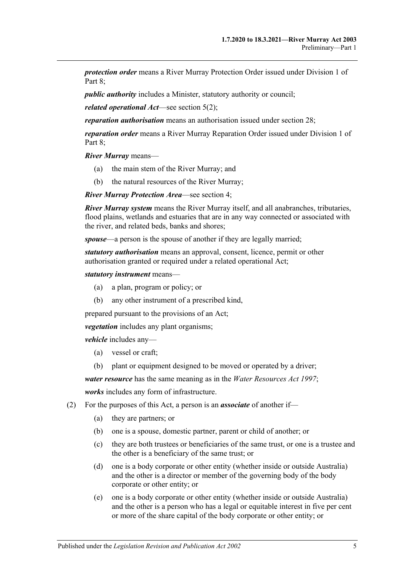*protection order* means a River Murray Protection Order issued under [Division 1](#page-24-1) of Part 8:

*public authority* includes a Minister, statutory authority or council;

*related operational Act*—see [section](#page-5-2) 5(2);

*reparation authorisation* means an authorisation issued under [section](#page-29-0) 28;

*reparation order* means a River Murray Reparation Order issued under [Division 1](#page-24-1) of [Part 8;](#page-24-0)

*River Murray* means—

- (a) the main stem of the River Murray; and
- (b) the natural resources of the River Murray;

*River Murray Protection Area*—see [section](#page-5-0) 4;

*River Murray system* means the River Murray itself, and all anabranches, tributaries, flood plains, wetlands and estuaries that are in any way connected or associated with the river, and related beds, banks and shores;

*spouse*—a person is the spouse of another if they are legally married;

*statutory authorisation* means an approval, consent, licence, permit or other authorisation granted or required under a related operational Act;

*statutory instrument* means—

- (a) a plan, program or policy; or
- (b) any other instrument of a prescribed kind,

prepared pursuant to the provisions of an Act;

*vegetation* includes any plant organisms;

*vehicle* includes any—

- (a) vessel or craft;
- (b) plant or equipment designed to be moved or operated by a driver;

*water resource* has the same meaning as in the *[Water Resources Act](http://www.legislation.sa.gov.au/index.aspx?action=legref&type=act&legtitle=Water%20Resources%20Act%201997) 1997*;

*works* includes any form of infrastructure.

- <span id="page-4-0"></span>(2) For the purposes of this Act, a person is an *associate* of another if—
	- (a) they are partners; or
	- (b) one is a spouse, domestic partner, parent or child of another; or
	- (c) they are both trustees or beneficiaries of the same trust, or one is a trustee and the other is a beneficiary of the same trust; or
	- (d) one is a body corporate or other entity (whether inside or outside Australia) and the other is a director or member of the governing body of the body corporate or other entity; or
	- (e) one is a body corporate or other entity (whether inside or outside Australia) and the other is a person who has a legal or equitable interest in five per cent or more of the share capital of the body corporate or other entity; or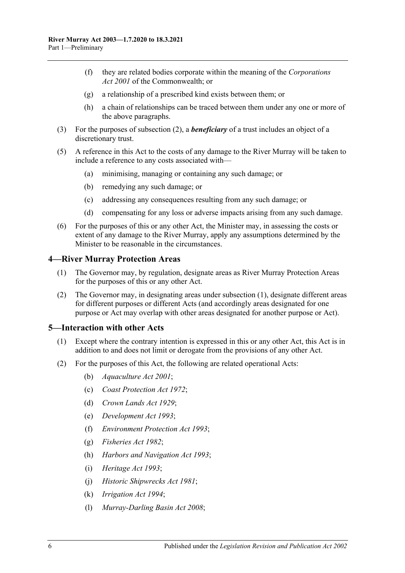- (f) they are related bodies corporate within the meaning of the *Corporations Act 2001* of the Commonwealth; or
- (g) a relationship of a prescribed kind exists between them; or
- (h) a chain of relationships can be traced between them under any one or more of the above paragraphs.
- (3) For the purposes of [subsection](#page-4-0) (2), a *beneficiary* of a trust includes an object of a discretionary trust.
- (5) A reference in this Act to the costs of any damage to the River Murray will be taken to include a reference to any costs associated with—
	- (a) minimising, managing or containing any such damage; or
	- (b) remedying any such damage; or
	- (c) addressing any consequences resulting from any such damage; or
	- (d) compensating for any loss or adverse impacts arising from any such damage.
- (6) For the purposes of this or any other Act, the Minister may, in assessing the costs or extent of any damage to the River Murray, apply any assumptions determined by the Minister to be reasonable in the circumstances.

#### <span id="page-5-3"></span><span id="page-5-0"></span>**4—River Murray Protection Areas**

- (1) The Governor may, by regulation, designate areas as River Murray Protection Areas for the purposes of this or any other Act.
- (2) The Governor may, in designating areas under [subsection](#page-5-3) (1), designate different areas for different purposes or different Acts (and accordingly areas designated for one purpose or Act may overlap with other areas designated for another purpose or Act).

#### <span id="page-5-1"></span>**5—Interaction with other Acts**

- (1) Except where the contrary intention is expressed in this or any other Act, this Act is in addition to and does not limit or derogate from the provisions of any other Act.
- <span id="page-5-2"></span>(2) For the purposes of this Act, the following are related operational Acts:
	- (b) *[Aquaculture Act](http://www.legislation.sa.gov.au/index.aspx?action=legref&type=act&legtitle=Aquaculture%20Act%202001) 2001*;
	- (c) *[Coast Protection Act](http://www.legislation.sa.gov.au/index.aspx?action=legref&type=act&legtitle=Coast%20Protection%20Act%201972) 1972*;
	- (d) *[Crown Lands Act](http://www.legislation.sa.gov.au/index.aspx?action=legref&type=act&legtitle=Crown%20Lands%20Act%201929) 1929*;
	- (e) *[Development Act](http://www.legislation.sa.gov.au/index.aspx?action=legref&type=act&legtitle=Development%20Act%201993) 1993*;
	- (f) *[Environment Protection Act](http://www.legislation.sa.gov.au/index.aspx?action=legref&type=act&legtitle=Environment%20Protection%20Act%201993) 1993*;
	- (g) *[Fisheries Act](http://www.legislation.sa.gov.au/index.aspx?action=legref&type=act&legtitle=Fisheries%20Act%201982) 1982*;
	- (h) *[Harbors and Navigation Act](http://www.legislation.sa.gov.au/index.aspx?action=legref&type=act&legtitle=Harbors%20and%20Navigation%20Act%201993) 1993*;
	- (i) *[Heritage Act](http://www.legislation.sa.gov.au/index.aspx?action=legref&type=act&legtitle=Heritage%20Act%201993) 1993*;
	- (j) *[Historic Shipwrecks Act](http://www.legislation.sa.gov.au/index.aspx?action=legref&type=act&legtitle=Historic%20Shipwrecks%20Act%201981) 1981*;
	- (k) *[Irrigation Act](http://www.legislation.sa.gov.au/index.aspx?action=legref&type=act&legtitle=Irrigation%20Act%201994) 1994*;
	- (l) *[Murray-Darling Basin Act](http://www.legislation.sa.gov.au/index.aspx?action=legref&type=act&legtitle=Murray-Darling%20Basin%20Act%202008) 2008*;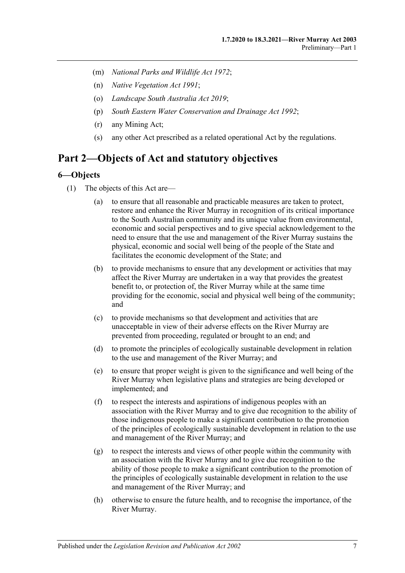- (m) *[National Parks and Wildlife Act](http://www.legislation.sa.gov.au/index.aspx?action=legref&type=act&legtitle=National%20Parks%20and%20Wildlife%20Act%201972) 1972*;
- (n) *[Native Vegetation Act](http://www.legislation.sa.gov.au/index.aspx?action=legref&type=act&legtitle=Native%20Vegetation%20Act%201991) 1991*;
- (o) *[Landscape South Australia Act](http://www.legislation.sa.gov.au/index.aspx?action=legref&type=act&legtitle=Landscape%20South%20Australia%20Act%202019) 2019*;
- (p) *[South Eastern Water Conservation and Drainage Act](http://www.legislation.sa.gov.au/index.aspx?action=legref&type=act&legtitle=South%20Eastern%20Water%20Conservation%20and%20Drainage%20Act%201992) 1992*;
- (r) any Mining Act;
- (s) any other Act prescribed as a related operational Act by the regulations.

## <span id="page-6-0"></span>**Part 2—Objects of Act and statutory objectives**

## <span id="page-6-1"></span>**6—Objects**

- (1) The objects of this Act are—
	- (a) to ensure that all reasonable and practicable measures are taken to protect, restore and enhance the River Murray in recognition of its critical importance to the South Australian community and its unique value from environmental, economic and social perspectives and to give special acknowledgement to the need to ensure that the use and management of the River Murray sustains the physical, economic and social well being of the people of the State and facilitates the economic development of the State; and
	- (b) to provide mechanisms to ensure that any development or activities that may affect the River Murray are undertaken in a way that provides the greatest benefit to, or protection of, the River Murray while at the same time providing for the economic, social and physical well being of the community; and
	- (c) to provide mechanisms so that development and activities that are unacceptable in view of their adverse effects on the River Murray are prevented from proceeding, regulated or brought to an end; and
	- (d) to promote the principles of ecologically sustainable development in relation to the use and management of the River Murray; and
	- (e) to ensure that proper weight is given to the significance and well being of the River Murray when legislative plans and strategies are being developed or implemented; and
	- (f) to respect the interests and aspirations of indigenous peoples with an association with the River Murray and to give due recognition to the ability of those indigenous people to make a significant contribution to the promotion of the principles of ecologically sustainable development in relation to the use and management of the River Murray; and
	- (g) to respect the interests and views of other people within the community with an association with the River Murray and to give due recognition to the ability of those people to make a significant contribution to the promotion of the principles of ecologically sustainable development in relation to the use and management of the River Murray; and
	- (h) otherwise to ensure the future health, and to recognise the importance, of the River Murray.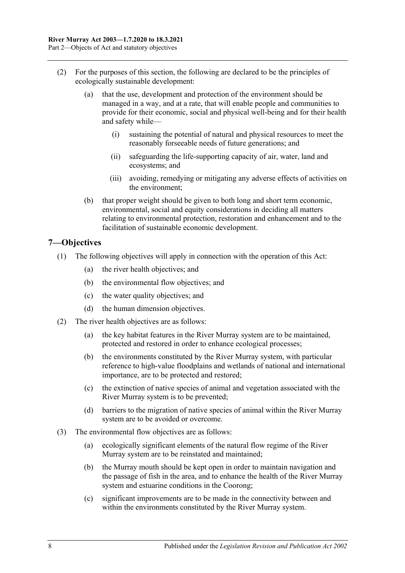- (2) For the purposes of this section, the following are declared to be the principles of ecologically sustainable development:
	- (a) that the use, development and protection of the environment should be managed in a way, and at a rate, that will enable people and communities to provide for their economic, social and physical well-being and for their health and safety while—
		- (i) sustaining the potential of natural and physical resources to meet the reasonably forseeable needs of future generations; and
		- (ii) safeguarding the life-supporting capacity of air, water, land and ecosystems; and
		- (iii) avoiding, remedying or mitigating any adverse effects of activities on the environment;
	- (b) that proper weight should be given to both long and short term economic, environmental, social and equity considerations in deciding all matters relating to environmental protection, restoration and enhancement and to the facilitation of sustainable economic development.

## <span id="page-7-0"></span>**7—Objectives**

- (1) The following objectives will apply in connection with the operation of this Act:
	- (a) the river health objectives; and
	- (b) the environmental flow objectives; and
	- (c) the water quality objectives; and
	- (d) the human dimension objectives.
- (2) The river health objectives are as follows:
	- (a) the key habitat features in the River Murray system are to be maintained, protected and restored in order to enhance ecological processes;
	- (b) the environments constituted by the River Murray system, with particular reference to high-value floodplains and wetlands of national and international importance, are to be protected and restored;
	- (c) the extinction of native species of animal and vegetation associated with the River Murray system is to be prevented;
	- (d) barriers to the migration of native species of animal within the River Murray system are to be avoided or overcome.
- (3) The environmental flow objectives are as follows:
	- (a) ecologically significant elements of the natural flow regime of the River Murray system are to be reinstated and maintained;
	- (b) the Murray mouth should be kept open in order to maintain navigation and the passage of fish in the area, and to enhance the health of the River Murray system and estuarine conditions in the Coorong;
	- (c) significant improvements are to be made in the connectivity between and within the environments constituted by the River Murray system.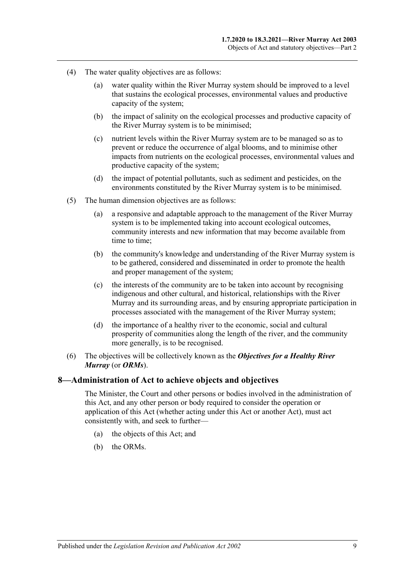- (4) The water quality objectives are as follows:
	- (a) water quality within the River Murray system should be improved to a level that sustains the ecological processes, environmental values and productive capacity of the system;
	- (b) the impact of salinity on the ecological processes and productive capacity of the River Murray system is to be minimised;
	- (c) nutrient levels within the River Murray system are to be managed so as to prevent or reduce the occurrence of algal blooms, and to minimise other impacts from nutrients on the ecological processes, environmental values and productive capacity of the system;
	- (d) the impact of potential pollutants, such as sediment and pesticides, on the environments constituted by the River Murray system is to be minimised.
- (5) The human dimension objectives are as follows:
	- (a) a responsive and adaptable approach to the management of the River Murray system is to be implemented taking into account ecological outcomes, community interests and new information that may become available from time to time;
	- (b) the community's knowledge and understanding of the River Murray system is to be gathered, considered and disseminated in order to promote the health and proper management of the system;
	- (c) the interests of the community are to be taken into account by recognising indigenous and other cultural, and historical, relationships with the River Murray and its surrounding areas, and by ensuring appropriate participation in processes associated with the management of the River Murray system;
	- (d) the importance of a healthy river to the economic, social and cultural prosperity of communities along the length of the river, and the community more generally, is to be recognised.
- (6) The objectives will be collectively known as the *Objectives for a Healthy River Murray* (or *ORMs*).

#### <span id="page-8-0"></span>**8—Administration of Act to achieve objects and objectives**

The Minister, the Court and other persons or bodies involved in the administration of this Act, and any other person or body required to consider the operation or application of this Act (whether acting under this Act or another Act), must act consistently with, and seek to further—

- (a) the objects of this Act; and
- (b) the ORMs.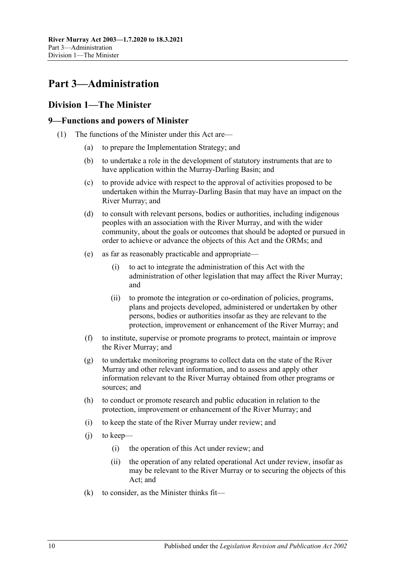## <span id="page-9-0"></span>**Part 3—Administration**

## <span id="page-9-1"></span>**Division 1—The Minister**

## <span id="page-9-2"></span>**9—Functions and powers of Minister**

- <span id="page-9-3"></span>(1) The functions of the Minister under this Act are—
	- (a) to prepare the Implementation Strategy; and
	- (b) to undertake a role in the development of statutory instruments that are to have application within the Murray-Darling Basin; and
	- (c) to provide advice with respect to the approval of activities proposed to be undertaken within the Murray-Darling Basin that may have an impact on the River Murray; and
	- (d) to consult with relevant persons, bodies or authorities, including indigenous peoples with an association with the River Murray, and with the wider community, about the goals or outcomes that should be adopted or pursued in order to achieve or advance the objects of this Act and the ORMs; and
	- (e) as far as reasonably practicable and appropriate—
		- (i) to act to integrate the administration of this Act with the administration of other legislation that may affect the River Murray; and
		- (ii) to promote the integration or co-ordination of policies, programs, plans and projects developed, administered or undertaken by other persons, bodies or authorities insofar as they are relevant to the protection, improvement or enhancement of the River Murray; and
	- (f) to institute, supervise or promote programs to protect, maintain or improve the River Murray; and
	- (g) to undertake monitoring programs to collect data on the state of the River Murray and other relevant information, and to assess and apply other information relevant to the River Murray obtained from other programs or sources; and
	- (h) to conduct or promote research and public education in relation to the protection, improvement or enhancement of the River Murray; and
	- (i) to keep the state of the River Murray under review; and
	- (j) to keep—
		- (i) the operation of this Act under review; and
		- (ii) the operation of any related operational Act under review, insofar as may be relevant to the River Murray or to securing the objects of this Act; and
	- (k) to consider, as the Minister thinks fit—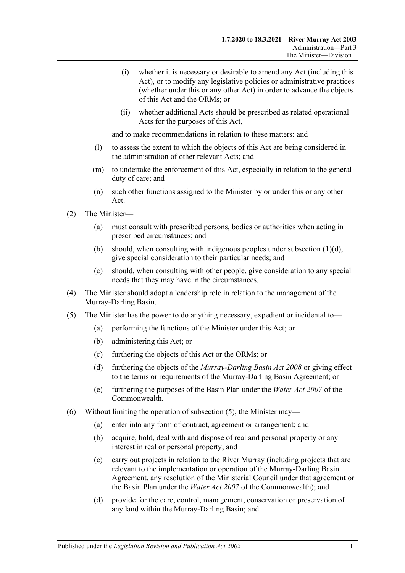- (i) whether it is necessary or desirable to amend any Act (including this Act), or to modify any legislative policies or administrative practices (whether under this or any other Act) in order to advance the objects of this Act and the ORMs; or
- (ii) whether additional Acts should be prescribed as related operational Acts for the purposes of this Act,

and to make recommendations in relation to these matters; and

- (l) to assess the extent to which the objects of this Act are being considered in the administration of other relevant Acts; and
- (m) to undertake the enforcement of this Act, especially in relation to the general duty of care; and
- (n) such other functions assigned to the Minister by or under this or any other Act.
- (2) The Minister—
	- (a) must consult with prescribed persons, bodies or authorities when acting in prescribed circumstances; and
	- (b) should, when consulting with indigenous peoples under [subsection](#page-9-3)  $(1)(d)$ , give special consideration to their particular needs; and
	- (c) should, when consulting with other people, give consideration to any special needs that they may have in the circumstances.
- (4) The Minister should adopt a leadership role in relation to the management of the Murray-Darling Basin.
- <span id="page-10-0"></span>(5) The Minister has the power to do anything necessary, expedient or incidental to—
	- (a) performing the functions of the Minister under this Act; or
	- (b) administering this Act; or
	- (c) furthering the objects of this Act or the ORMs; or
	- (d) furthering the objects of the *[Murray-Darling Basin Act](http://www.legislation.sa.gov.au/index.aspx?action=legref&type=act&legtitle=Murray-Darling%20Basin%20Act%202008) 2008* or giving effect to the terms or requirements of the Murray-Darling Basin Agreement; or
	- (e) furthering the purposes of the Basin Plan under the *Water Act 2007* of the Commonwealth.
- (6) Without limiting the operation of [subsection](#page-10-0) (5), the Minister may—
	- (a) enter into any form of contract, agreement or arrangement; and
	- (b) acquire, hold, deal with and dispose of real and personal property or any interest in real or personal property; and
	- (c) carry out projects in relation to the River Murray (including projects that are relevant to the implementation or operation of the Murray-Darling Basin Agreement, any resolution of the Ministerial Council under that agreement or the Basin Plan under the *Water Act 2007* of the Commonwealth); and
	- (d) provide for the care, control, management, conservation or preservation of any land within the Murray-Darling Basin; and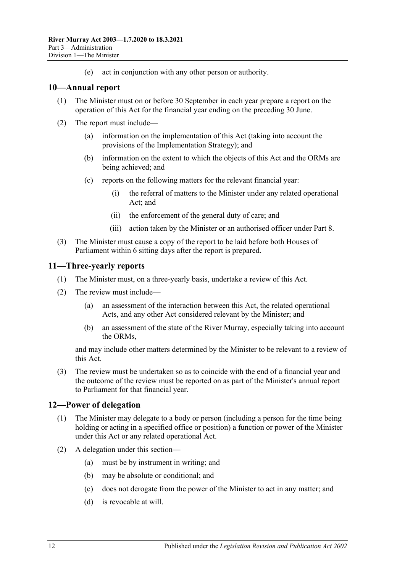(e) act in conjunction with any other person or authority.

## <span id="page-11-0"></span>**10—Annual report**

- (1) The Minister must on or before 30 September in each year prepare a report on the operation of this Act for the financial year ending on the preceding 30 June.
- (2) The report must include—
	- (a) information on the implementation of this Act (taking into account the provisions of the Implementation Strategy); and
	- (b) information on the extent to which the objects of this Act and the ORMs are being achieved; and
	- (c) reports on the following matters for the relevant financial year:
		- (i) the referral of matters to the Minister under any related operational Act; and
		- (ii) the enforcement of the general duty of care; and
		- (iii) action taken by the Minister or an authorised officer under [Part 8.](#page-24-0)
- (3) The Minister must cause a copy of the report to be laid before both Houses of Parliament within 6 sitting days after the report is prepared.

## <span id="page-11-1"></span>**11—Three-yearly reports**

- (1) The Minister must, on a three-yearly basis, undertake a review of this Act.
- (2) The review must include—
	- (a) an assessment of the interaction between this Act, the related operational Acts, and any other Act considered relevant by the Minister; and
	- (b) an assessment of the state of the River Murray, especially taking into account the ORMs,

and may include other matters determined by the Minister to be relevant to a review of this Act.

(3) The review must be undertaken so as to coincide with the end of a financial year and the outcome of the review must be reported on as part of the Minister's annual report to Parliament for that financial year.

## <span id="page-11-2"></span>**12—Power of delegation**

- (1) The Minister may delegate to a body or person (including a person for the time being holding or acting in a specified office or position) a function or power of the Minister under this Act or any related operational Act.
- (2) A delegation under this section—
	- (a) must be by instrument in writing; and
	- (b) may be absolute or conditional; and
	- (c) does not derogate from the power of the Minister to act in any matter; and
	- (d) is revocable at will.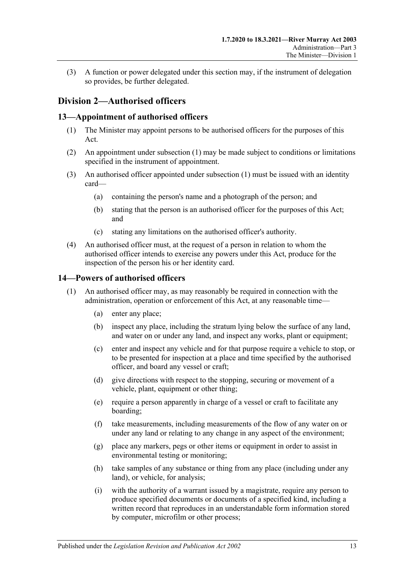(3) A function or power delegated under this section may, if the instrument of delegation so provides, be further delegated.

## <span id="page-12-0"></span>**Division 2—Authorised officers**

## <span id="page-12-3"></span><span id="page-12-1"></span>**13—Appointment of authorised officers**

- (1) The Minister may appoint persons to be authorised officers for the purposes of this Act.
- (2) An appointment under [subsection](#page-12-3) (1) may be made subject to conditions or limitations specified in the instrument of appointment.
- (3) An authorised officer appointed under [subsection](#page-12-3) (1) must be issued with an identity card—
	- (a) containing the person's name and a photograph of the person; and
	- (b) stating that the person is an authorised officer for the purposes of this Act; and
	- (c) stating any limitations on the authorised officer's authority.
- (4) An authorised officer must, at the request of a person in relation to whom the authorised officer intends to exercise any powers under this Act, produce for the inspection of the person his or her identity card.

## <span id="page-12-4"></span><span id="page-12-2"></span>**14—Powers of authorised officers**

- <span id="page-12-5"></span>(1) An authorised officer may, as may reasonably be required in connection with the administration, operation or enforcement of this Act, at any reasonable time—
	- (a) enter any place;
	- (b) inspect any place, including the stratum lying below the surface of any land, and water on or under any land, and inspect any works, plant or equipment;
	- (c) enter and inspect any vehicle and for that purpose require a vehicle to stop, or to be presented for inspection at a place and time specified by the authorised officer, and board any vessel or craft;
	- (d) give directions with respect to the stopping, securing or movement of a vehicle, plant, equipment or other thing;
	- (e) require a person apparently in charge of a vessel or craft to facilitate any boarding;
	- (f) take measurements, including measurements of the flow of any water on or under any land or relating to any change in any aspect of the environment;
	- (g) place any markers, pegs or other items or equipment in order to assist in environmental testing or monitoring;
	- (h) take samples of any substance or thing from any place (including under any land), or vehicle, for analysis;
	- (i) with the authority of a warrant issued by a magistrate, require any person to produce specified documents or documents of a specified kind, including a written record that reproduces in an understandable form information stored by computer, microfilm or other process;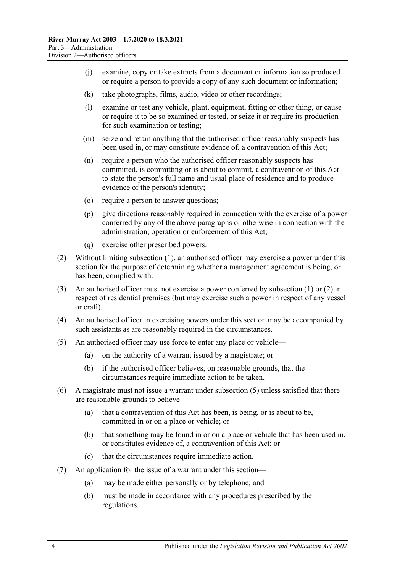- (j) examine, copy or take extracts from a document or information so produced or require a person to provide a copy of any such document or information;
- (k) take photographs, films, audio, video or other recordings;
- (l) examine or test any vehicle, plant, equipment, fitting or other thing, or cause or require it to be so examined or tested, or seize it or require its production for such examination or testing;
- (m) seize and retain anything that the authorised officer reasonably suspects has been used in, or may constitute evidence of, a contravention of this Act;
- (n) require a person who the authorised officer reasonably suspects has committed, is committing or is about to commit, a contravention of this Act to state the person's full name and usual place of residence and to produce evidence of the person's identity;
- (o) require a person to answer questions;
- (p) give directions reasonably required in connection with the exercise of a power conferred by any of the above paragraphs or otherwise in connection with the administration, operation or enforcement of this Act;
- (q) exercise other prescribed powers.
- <span id="page-13-0"></span>(2) Without limiting [subsection](#page-12-4) (1), an authorised officer may exercise a power under this section for the purpose of determining whether a management agreement is being, or has been, complied with.
- (3) An authorised officer must not exercise a power conferred by [subsection](#page-12-4) (1) or [\(2\)](#page-13-0) in respect of residential premises (but may exercise such a power in respect of any vessel or craft).
- (4) An authorised officer in exercising powers under this section may be accompanied by such assistants as are reasonably required in the circumstances.
- <span id="page-13-1"></span>(5) An authorised officer may use force to enter any place or vehicle—
	- (a) on the authority of a warrant issued by a magistrate; or
	- (b) if the authorised officer believes, on reasonable grounds, that the circumstances require immediate action to be taken.
- (6) A magistrate must not issue a warrant under [subsection](#page-13-1) (5) unless satisfied that there are reasonable grounds to believe—
	- (a) that a contravention of this Act has been, is being, or is about to be, committed in or on a place or vehicle; or
	- (b) that something may be found in or on a place or vehicle that has been used in, or constitutes evidence of, a contravention of this Act; or
	- (c) that the circumstances require immediate action.
- (7) An application for the issue of a warrant under this section—
	- (a) may be made either personally or by telephone; and
	- (b) must be made in accordance with any procedures prescribed by the regulations.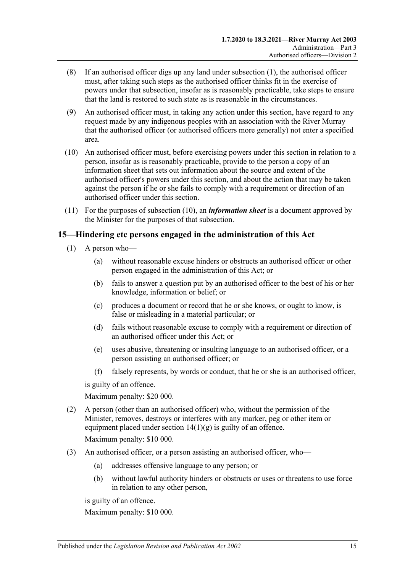- (8) If an authorised officer digs up any land under [subsection](#page-12-4) (1), the authorised officer must, after taking such steps as the authorised officer thinks fit in the exercise of powers under that subsection, insofar as is reasonably practicable, take steps to ensure that the land is restored to such state as is reasonable in the circumstances.
- (9) An authorised officer must, in taking any action under this section, have regard to any request made by any indigenous peoples with an association with the River Murray that the authorised officer (or authorised officers more generally) not enter a specified area.
- <span id="page-14-1"></span>(10) An authorised officer must, before exercising powers under this section in relation to a person, insofar as is reasonably practicable, provide to the person a copy of an information sheet that sets out information about the source and extent of the authorised officer's powers under this section, and about the action that may be taken against the person if he or she fails to comply with a requirement or direction of an authorised officer under this section.
- (11) For the purposes of [subsection](#page-14-1) (10), an *information sheet* is a document approved by the Minister for the purposes of that subsection.

## <span id="page-14-0"></span>**15—Hindering etc persons engaged in the administration of this Act**

- (1) A person who—
	- (a) without reasonable excuse hinders or obstructs an authorised officer or other person engaged in the administration of this Act; or
	- (b) fails to answer a question put by an authorised officer to the best of his or her knowledge, information or belief; or
	- (c) produces a document or record that he or she knows, or ought to know, is false or misleading in a material particular; or
	- (d) fails without reasonable excuse to comply with a requirement or direction of an authorised officer under this Act; or
	- (e) uses abusive, threatening or insulting language to an authorised officer, or a person assisting an authorised officer; or
	- (f) falsely represents, by words or conduct, that he or she is an authorised officer,

is guilty of an offence.

Maximum penalty: \$20 000.

- (2) A person (other than an authorised officer) who, without the permission of the Minister, removes, destroys or interferes with any marker, peg or other item or equipment placed under section  $14(1)(g)$  is guilty of an offence. Maximum penalty: \$10 000.
- (3) An authorised officer, or a person assisting an authorised officer, who—
	- (a) addresses offensive language to any person; or
	- (b) without lawful authority hinders or obstructs or uses or threatens to use force in relation to any other person,

is guilty of an offence.

Maximum penalty: \$10 000.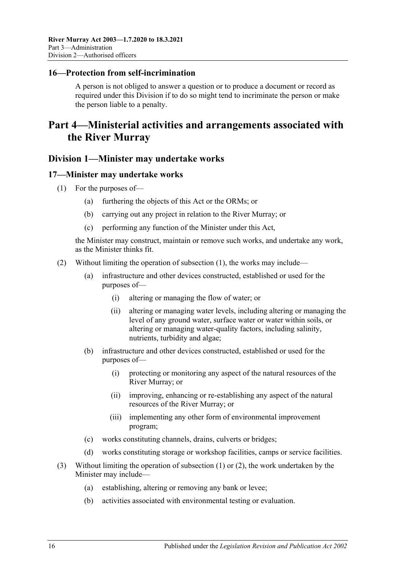## <span id="page-15-0"></span>**16—Protection from self-incrimination**

A person is not obliged to answer a question or to produce a document or record as required under this Division if to do so might tend to incriminate the person or make the person liable to a penalty.

## <span id="page-15-1"></span>**Part 4—Ministerial activities and arrangements associated with the River Murray**

## <span id="page-15-2"></span>**Division 1—Minister may undertake works**

#### <span id="page-15-4"></span><span id="page-15-3"></span>**17—Minister may undertake works**

- (1) For the purposes of—
	- (a) furthering the objects of this Act or the ORMs; or
	- (b) carrying out any project in relation to the River Murray; or
	- (c) performing any function of the Minister under this Act,

the Minister may construct, maintain or remove such works, and undertake any work, as the Minister thinks fit.

- <span id="page-15-5"></span>(2) Without limiting the operation of [subsection](#page-15-4) (1), the works may include—
	- (a) infrastructure and other devices constructed, established or used for the purposes of—
		- (i) altering or managing the flow of water; or
		- (ii) altering or managing water levels, including altering or managing the level of any ground water, surface water or water within soils, or altering or managing water-quality factors, including salinity, nutrients, turbidity and algae;
	- (b) infrastructure and other devices constructed, established or used for the purposes of—
		- (i) protecting or monitoring any aspect of the natural resources of the River Murray; or
		- (ii) improving, enhancing or re-establishing any aspect of the natural resources of the River Murray; or
		- (iii) implementing any other form of environmental improvement program;
	- (c) works constituting channels, drains, culverts or bridges;
	- (d) works constituting storage or workshop facilities, camps or service facilities.
- (3) Without limiting the operation of [subsection](#page-15-4) (1) or [\(2\),](#page-15-5) the work undertaken by the Minister may include—
	- (a) establishing, altering or removing any bank or levee;
	- (b) activities associated with environmental testing or evaluation.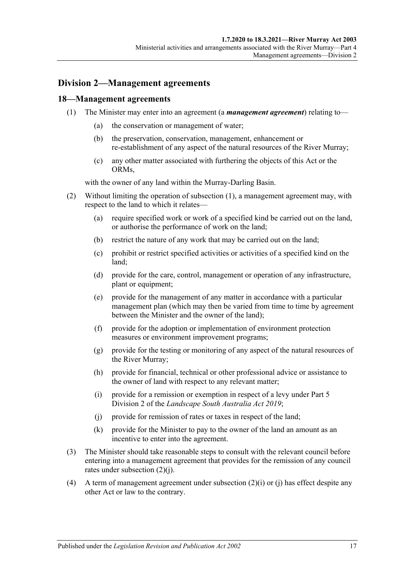## <span id="page-16-0"></span>**Division 2—Management agreements**

#### <span id="page-16-2"></span><span id="page-16-1"></span>**18—Management agreements**

- (1) The Minister may enter into an agreement (a *management agreement*) relating to—
	- (a) the conservation or management of water;
	- (b) the preservation, conservation, management, enhancement or re-establishment of any aspect of the natural resources of the River Murray;
	- (c) any other matter associated with furthering the objects of this Act or the ORMs,

with the owner of any land within the Murray-Darling Basin.

- (2) Without limiting the operation of [subsection](#page-16-2) (1), a management agreement may, with respect to the land to which it relates—
	- (a) require specified work or work of a specified kind be carried out on the land, or authorise the performance of work on the land;
	- (b) restrict the nature of any work that may be carried out on the land;
	- (c) prohibit or restrict specified activities or activities of a specified kind on the land;
	- (d) provide for the care, control, management or operation of any infrastructure, plant or equipment;
	- (e) provide for the management of any matter in accordance with a particular management plan (which may then be varied from time to time by agreement between the Minister and the owner of the land);
	- (f) provide for the adoption or implementation of environment protection measures or environment improvement programs;
	- (g) provide for the testing or monitoring of any aspect of the natural resources of the River Murray;
	- (h) provide for financial, technical or other professional advice or assistance to the owner of land with respect to any relevant matter;
	- (i) provide for a remission or exemption in respect of a levy under Part 5 Division 2 of the *[Landscape South Australia Act](http://www.legislation.sa.gov.au/index.aspx?action=legref&type=act&legtitle=Landscape%20South%20Australia%20Act%202019) 2019*;
	- (j) provide for remission of rates or taxes in respect of the land;
	- (k) provide for the Minister to pay to the owner of the land an amount as an incentive to enter into the agreement.
- <span id="page-16-3"></span>(3) The Minister should take reasonable steps to consult with the relevant council before entering into a management agreement that provides for the remission of any council rates under [subsection](#page-16-3) (2)(j).
- (4) A term of management agreement under subsection  $(2)(i)$  or (i) has effect despite any other Act or law to the contrary.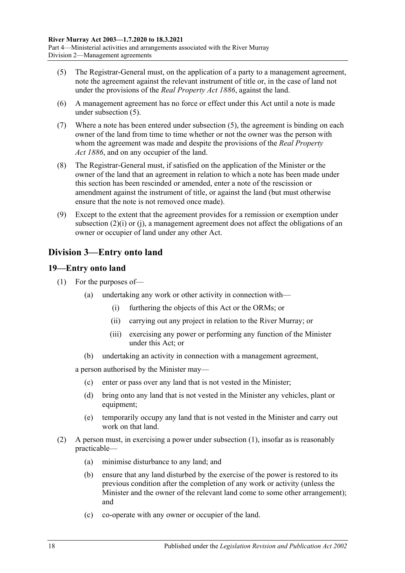- <span id="page-17-2"></span>(5) The Registrar-General must, on the application of a party to a management agreement, note the agreement against the relevant instrument of title or, in the case of land not under the provisions of the *[Real Property Act](http://www.legislation.sa.gov.au/index.aspx?action=legref&type=act&legtitle=Real%20Property%20Act%201886) 1886*, against the land.
- (6) A management agreement has no force or effect under this Act until a note is made under [subsection](#page-17-2) (5).
- (7) Where a note has been entered under [subsection](#page-17-2) (5), the agreement is binding on each owner of the land from time to time whether or not the owner was the person with whom the agreement was made and despite the provisions of the *Real [Property](http://www.legislation.sa.gov.au/index.aspx?action=legref&type=act&legtitle=Real%20Property%20Act%201886)  Act [1886](http://www.legislation.sa.gov.au/index.aspx?action=legref&type=act&legtitle=Real%20Property%20Act%201886)*, and on any occupier of the land.
- (8) The Registrar-General must, if satisfied on the application of the Minister or the owner of the land that an agreement in relation to which a note has been made under this section has been rescinded or amended, enter a note of the rescission or amendment against the instrument of title, or against the land (but must otherwise ensure that the note is not removed once made).
- (9) Except to the extent that the agreement provides for a remission or exemption under subsection (2)(i) or [\(j\),](#page-16-3) a management agreement does not affect the obligations of an owner or occupier of land under any other Act.

## <span id="page-17-0"></span>**Division 3—Entry onto land**

## <span id="page-17-3"></span><span id="page-17-1"></span>**19—Entry onto land**

- (1) For the purposes of—
	- (a) undertaking any work or other activity in connection with—
		- (i) furthering the objects of this Act or the ORMs; or
		- (ii) carrying out any project in relation to the River Murray; or
		- (iii) exercising any power or performing any function of the Minister under this Act; or
	- (b) undertaking an activity in connection with a management agreement,

a person authorised by the Minister may—

- (c) enter or pass over any land that is not vested in the Minister;
- (d) bring onto any land that is not vested in the Minister any vehicles, plant or equipment;
- (e) temporarily occupy any land that is not vested in the Minister and carry out work on that land.
- (2) A person must, in exercising a power under [subsection](#page-17-3) (1), insofar as is reasonably practicable—
	- (a) minimise disturbance to any land; and
	- (b) ensure that any land disturbed by the exercise of the power is restored to its previous condition after the completion of any work or activity (unless the Minister and the owner of the relevant land come to some other arrangement); and
	- (c) co-operate with any owner or occupier of the land.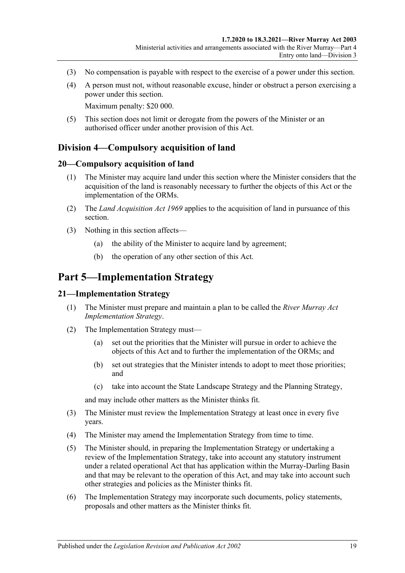- (3) No compensation is payable with respect to the exercise of a power under this section.
- (4) A person must not, without reasonable excuse, hinder or obstruct a person exercising a power under this section.

Maximum penalty: \$20 000.

(5) This section does not limit or derogate from the powers of the Minister or an authorised officer under another provision of this Act.

## <span id="page-18-0"></span>**Division 4—Compulsory acquisition of land**

#### <span id="page-18-1"></span>**20—Compulsory acquisition of land**

- (1) The Minister may acquire land under this section where the Minister considers that the acquisition of the land is reasonably necessary to further the objects of this Act or the implementation of the ORMs.
- (2) The *[Land Acquisition Act](http://www.legislation.sa.gov.au/index.aspx?action=legref&type=act&legtitle=Land%20Acquisition%20Act%201969) 1969* applies to the acquisition of land in pursuance of this section.
- (3) Nothing in this section affects—
	- (a) the ability of the Minister to acquire land by agreement;
	- (b) the operation of any other section of this Act.

## <span id="page-18-2"></span>**Part 5—Implementation Strategy**

#### <span id="page-18-3"></span>**21—Implementation Strategy**

- (1) The Minister must prepare and maintain a plan to be called the *River Murray Act Implementation Strategy*.
- (2) The Implementation Strategy must—
	- (a) set out the priorities that the Minister will pursue in order to achieve the objects of this Act and to further the implementation of the ORMs; and
	- (b) set out strategies that the Minister intends to adopt to meet those priorities; and
	- (c) take into account the State Landscape Strategy and the Planning Strategy,

and may include other matters as the Minister thinks fit.

- (3) The Minister must review the Implementation Strategy at least once in every five years.
- (4) The Minister may amend the Implementation Strategy from time to time.
- (5) The Minister should, in preparing the Implementation Strategy or undertaking a review of the Implementation Strategy, take into account any statutory instrument under a related operational Act that has application within the Murray-Darling Basin and that may be relevant to the operation of this Act, and may take into account such other strategies and policies as the Minister thinks fit.
- (6) The Implementation Strategy may incorporate such documents, policy statements, proposals and other matters as the Minister thinks fit.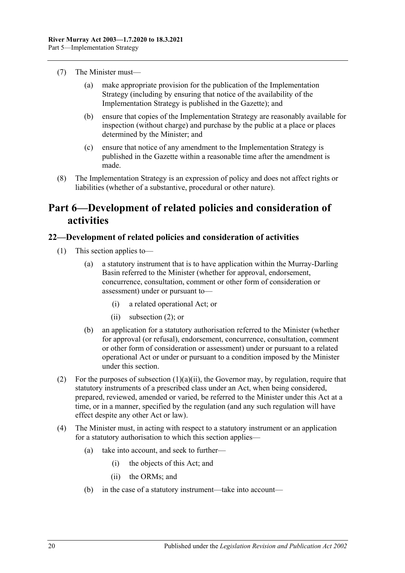- (7) The Minister must—
	- (a) make appropriate provision for the publication of the Implementation Strategy (including by ensuring that notice of the availability of the Implementation Strategy is published in the Gazette); and
	- (b) ensure that copies of the Implementation Strategy are reasonably available for inspection (without charge) and purchase by the public at a place or places determined by the Minister; and
	- (c) ensure that notice of any amendment to the Implementation Strategy is published in the Gazette within a reasonable time after the amendment is made.
- (8) The Implementation Strategy is an expression of policy and does not affect rights or liabilities (whether of a substantive, procedural or other nature).

## <span id="page-19-0"></span>**Part 6—Development of related policies and consideration of activities**

## <span id="page-19-1"></span>**22—Development of related policies and consideration of activities**

- <span id="page-19-3"></span>(1) This section applies to—
	- (a) a statutory instrument that is to have application within the Murray-Darling Basin referred to the Minister (whether for approval, endorsement, concurrence, consultation, comment or other form of consideration or assessment) under or pursuant to—
		- (i) a related operational Act; or
		- (ii) [subsection](#page-19-2) (2); or
	- (b) an application for a statutory authorisation referred to the Minister (whether for approval (or refusal), endorsement, concurrence, consultation, comment or other form of consideration or assessment) under or pursuant to a related operational Act or under or pursuant to a condition imposed by the Minister under this section.
- <span id="page-19-2"></span>(2) For the purposes of [subsection](#page-19-3)  $(1)(a)(ii)$ , the Governor may, by regulation, require that statutory instruments of a prescribed class under an Act, when being considered, prepared, reviewed, amended or varied, be referred to the Minister under this Act at a time, or in a manner, specified by the regulation (and any such regulation will have effect despite any other Act or law).
- (4) The Minister must, in acting with respect to a statutory instrument or an application for a statutory authorisation to which this section applies—
	- (a) take into account, and seek to further—
		- (i) the objects of this Act; and
		- (ii) the ORMs; and
	- (b) in the case of a statutory instrument—take into account—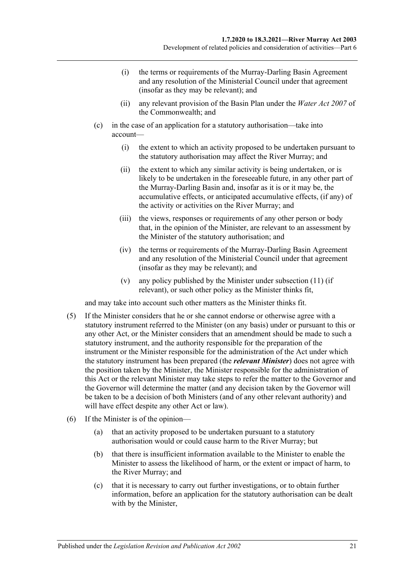- (i) the terms or requirements of the Murray-Darling Basin Agreement and any resolution of the Ministerial Council under that agreement (insofar as they may be relevant); and
- (ii) any relevant provision of the Basin Plan under the *Water Act 2007* of the Commonwealth; and
- (c) in the case of an application for a statutory authorisation—take into account—
	- (i) the extent to which an activity proposed to be undertaken pursuant to the statutory authorisation may affect the River Murray; and
	- (ii) the extent to which any similar activity is being undertaken, or is likely to be undertaken in the foreseeable future, in any other part of the Murray-Darling Basin and, insofar as it is or it may be, the accumulative effects, or anticipated accumulative effects, (if any) of the activity or activities on the River Murray; and
	- (iii) the views, responses or requirements of any other person or body that, in the opinion of the Minister, are relevant to an assessment by the Minister of the statutory authorisation; and
	- (iv) the terms or requirements of the Murray-Darling Basin Agreement and any resolution of the Ministerial Council under that agreement (insofar as they may be relevant); and
	- (v) any policy published by the Minister under [subsection](#page-22-0) (11) (if relevant), or such other policy as the Minister thinks fit,

and may take into account such other matters as the Minister thinks fit.

- (5) If the Minister considers that he or she cannot endorse or otherwise agree with a statutory instrument referred to the Minister (on any basis) under or pursuant to this or any other Act, or the Minister considers that an amendment should be made to such a statutory instrument, and the authority responsible for the preparation of the instrument or the Minister responsible for the administration of the Act under which the statutory instrument has been prepared (the *relevant Minister*) does not agree with the position taken by the Minister, the Minister responsible for the administration of this Act or the relevant Minister may take steps to refer the matter to the Governor and the Governor will determine the matter (and any decision taken by the Governor will be taken to be a decision of both Ministers (and of any other relevant authority) and will have effect despite any other Act or law).
- (6) If the Minister is of the opinion—
	- (a) that an activity proposed to be undertaken pursuant to a statutory authorisation would or could cause harm to the River Murray; but
	- (b) that there is insufficient information available to the Minister to enable the Minister to assess the likelihood of harm, or the extent or impact of harm, to the River Murray; and
	- (c) that it is necessary to carry out further investigations, or to obtain further information, before an application for the statutory authorisation can be dealt with by the Minister,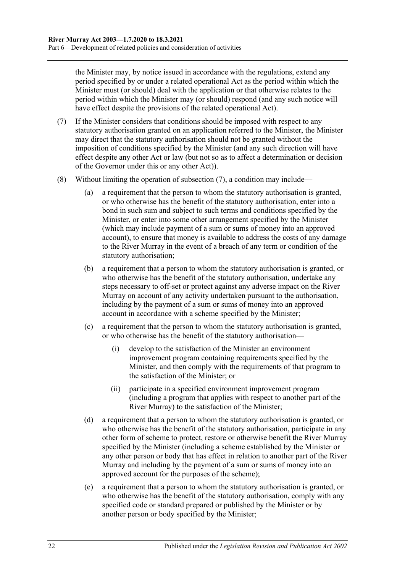the Minister may, by notice issued in accordance with the regulations, extend any period specified by or under a related operational Act as the period within which the Minister must (or should) deal with the application or that otherwise relates to the period within which the Minister may (or should) respond (and any such notice will have effect despite the provisions of the related operational Act).

- <span id="page-21-0"></span>(7) If the Minister considers that conditions should be imposed with respect to any statutory authorisation granted on an application referred to the Minister, the Minister may direct that the statutory authorisation should not be granted without the imposition of conditions specified by the Minister (and any such direction will have effect despite any other Act or law (but not so as to affect a determination or decision of the Governor under this or any other Act)).
- (8) Without limiting the operation of [subsection](#page-21-0) (7), a condition may include—
	- (a) a requirement that the person to whom the statutory authorisation is granted, or who otherwise has the benefit of the statutory authorisation, enter into a bond in such sum and subject to such terms and conditions specified by the Minister, or enter into some other arrangement specified by the Minister (which may include payment of a sum or sums of money into an approved account), to ensure that money is available to address the costs of any damage to the River Murray in the event of a breach of any term or condition of the statutory authorisation;
	- (b) a requirement that a person to whom the statutory authorisation is granted, or who otherwise has the benefit of the statutory authorisation, undertake any steps necessary to off-set or protect against any adverse impact on the River Murray on account of any activity undertaken pursuant to the authorisation, including by the payment of a sum or sums of money into an approved account in accordance with a scheme specified by the Minister;
	- (c) a requirement that the person to whom the statutory authorisation is granted, or who otherwise has the benefit of the statutory authorisation—
		- (i) develop to the satisfaction of the Minister an environment improvement program containing requirements specified by the Minister, and then comply with the requirements of that program to the satisfaction of the Minister; or
		- (ii) participate in a specified environment improvement program (including a program that applies with respect to another part of the River Murray) to the satisfaction of the Minister;
	- (d) a requirement that a person to whom the statutory authorisation is granted, or who otherwise has the benefit of the statutory authorisation, participate in any other form of scheme to protect, restore or otherwise benefit the River Murray specified by the Minister (including a scheme established by the Minister or any other person or body that has effect in relation to another part of the River Murray and including by the payment of a sum or sums of money into an approved account for the purposes of the scheme);
	- (e) a requirement that a person to whom the statutory authorisation is granted, or who otherwise has the benefit of the statutory authorisation, comply with any specified code or standard prepared or published by the Minister or by another person or body specified by the Minister;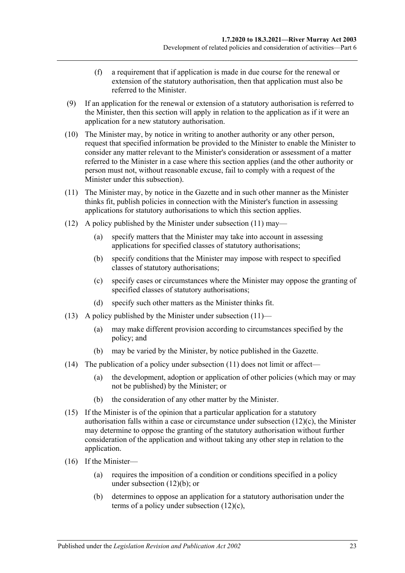- (f) a requirement that if application is made in due course for the renewal or extension of the statutory authorisation, then that application must also be referred to the Minister.
- (9) If an application for the renewal or extension of a statutory authorisation is referred to the Minister, then this section will apply in relation to the application as if it were an application for a new statutory authorisation.
- (10) The Minister may, by notice in writing to another authority or any other person, request that specified information be provided to the Minister to enable the Minister to consider any matter relevant to the Minister's consideration or assessment of a matter referred to the Minister in a case where this section applies (and the other authority or person must not, without reasonable excuse, fail to comply with a request of the Minister under this subsection).
- <span id="page-22-0"></span>(11) The Minister may, by notice in the Gazette and in such other manner as the Minister thinks fit, publish policies in connection with the Minister's function in assessing applications for statutory authorisations to which this section applies.
- <span id="page-22-2"></span>(12) A policy published by the Minister under [subsection](#page-22-0) (11) may—
	- (a) specify matters that the Minister may take into account in assessing applications for specified classes of statutory authorisations;
	- (b) specify conditions that the Minister may impose with respect to specified classes of statutory authorisations;
	- (c) specify cases or circumstances where the Minister may oppose the granting of specified classes of statutory authorisations;
	- (d) specify such other matters as the Minister thinks fit.
- <span id="page-22-1"></span>(13) A policy published by the Minister under [subsection](#page-22-0)  $(11)$ —
	- (a) may make different provision according to circumstances specified by the policy; and
	- (b) may be varied by the Minister, by notice published in the Gazette.
- (14) The publication of a policy under [subsection](#page-22-0)  $(11)$  does not limit or affect—
	- (a) the development, adoption or application of other policies (which may or may not be published) by the Minister; or
	- (b) the consideration of any other matter by the Minister.
- (15) If the Minister is of the opinion that a particular application for a statutory authorisation falls within a case or circumstance under [subsection](#page-22-1) (12)(c), the Minister may determine to oppose the granting of the statutory authorisation without further consideration of the application and without taking any other step in relation to the application.
- (16) If the Minister—
	- (a) requires the imposition of a condition or conditions specified in a policy under [subsection](#page-22-2) (12)(b); or
	- (b) determines to oppose an application for a statutory authorisation under the terms of a policy under [subsection](#page-22-1) (12)(c),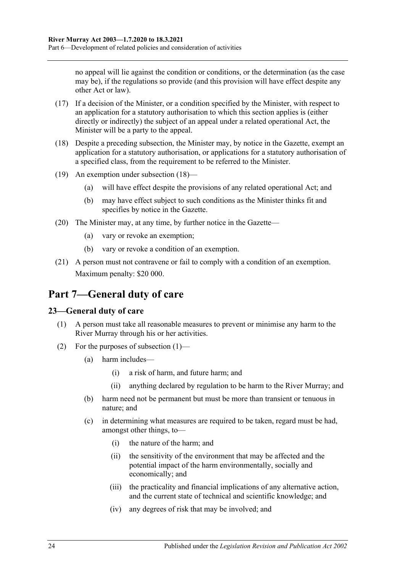no appeal will lie against the condition or conditions, or the determination (as the case may be), if the regulations so provide (and this provision will have effect despite any other Act or law).

- (17) If a decision of the Minister, or a condition specified by the Minister, with respect to an application for a statutory authorisation to which this section applies is (either directly or indirectly) the subject of an appeal under a related operational Act, the Minister will be a party to the appeal.
- <span id="page-23-2"></span>(18) Despite a preceding subsection, the Minister may, by notice in the Gazette, exempt an application for a statutory authorisation, or applications for a statutory authorisation of a specified class, from the requirement to be referred to the Minister.
- (19) An exemption under [subsection](#page-23-2) (18)—
	- (a) will have effect despite the provisions of any related operational Act; and
	- (b) may have effect subject to such conditions as the Minister thinks fit and specifies by notice in the Gazette.
- (20) The Minister may, at any time, by further notice in the Gazette—
	- (a) vary or revoke an exemption;
	- (b) vary or revoke a condition of an exemption.
- (21) A person must not contravene or fail to comply with a condition of an exemption. Maximum penalty: \$20 000.

## <span id="page-23-0"></span>**Part 7—General duty of care**

## <span id="page-23-3"></span><span id="page-23-1"></span>**23—General duty of care**

- (1) A person must take all reasonable measures to prevent or minimise any harm to the River Murray through his or her activities.
- (2) For the purposes of [subsection](#page-23-3) (1)—
	- (a) harm includes—
		- (i) a risk of harm, and future harm; and
		- (ii) anything declared by regulation to be harm to the River Murray; and
	- (b) harm need not be permanent but must be more than transient or tenuous in nature; and
	- (c) in determining what measures are required to be taken, regard must be had, amongst other things, to—
		- (i) the nature of the harm; and
		- (ii) the sensitivity of the environment that may be affected and the potential impact of the harm environmentally, socially and economically; and
		- (iii) the practicality and financial implications of any alternative action, and the current state of technical and scientific knowledge; and
		- (iv) any degrees of risk that may be involved; and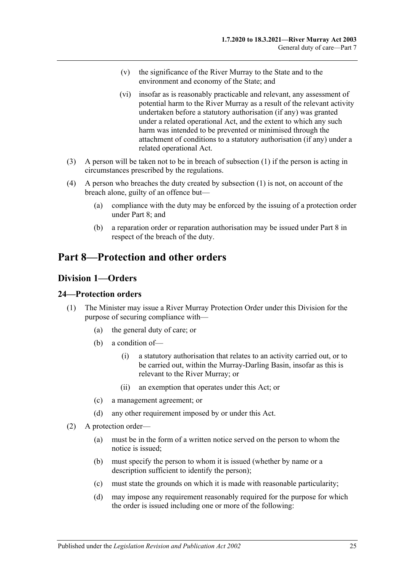- (v) the significance of the River Murray to the State and to the environment and economy of the State; and
- (vi) insofar as is reasonably practicable and relevant, any assessment of potential harm to the River Murray as a result of the relevant activity undertaken before a statutory authorisation (if any) was granted under a related operational Act, and the extent to which any such harm was intended to be prevented or minimised through the attachment of conditions to a statutory authorisation (if any) under a related operational Act.
- (3) A person will be taken not to be in breach of [subsection](#page-23-3) (1) if the person is acting in circumstances prescribed by the regulations.
- (4) A person who breaches the duty created by [subsection](#page-23-3) (1) is not, on account of the breach alone, guilty of an offence but—
	- (a) compliance with the duty may be enforced by the issuing of a protection order under [Part 8;](#page-24-0) and
	- (b) a reparation order or reparation authorisation may be issued under [Part 8](#page-24-0) in respect of the breach of the duty.

## <span id="page-24-1"></span><span id="page-24-0"></span>**Part 8—Protection and other orders**

## **Division 1—Orders**

## <span id="page-24-2"></span>**24—Protection orders**

- (1) The Minister may issue a River Murray Protection Order under this Division for the purpose of securing compliance with—
	- (a) the general duty of care; or
	- (b) a condition of—
		- (i) a statutory authorisation that relates to an activity carried out, or to be carried out, within the Murray-Darling Basin, insofar as this is relevant to the River Murray; or
		- (ii) an exemption that operates under this Act; or
	- (c) a management agreement; or
	- (d) any other requirement imposed by or under this Act.
- <span id="page-24-3"></span>(2) A protection order—
	- (a) must be in the form of a written notice served on the person to whom the notice is issued;
	- (b) must specify the person to whom it is issued (whether by name or a description sufficient to identify the person);
	- (c) must state the grounds on which it is made with reasonable particularity;
	- (d) may impose any requirement reasonably required for the purpose for which the order is issued including one or more of the following: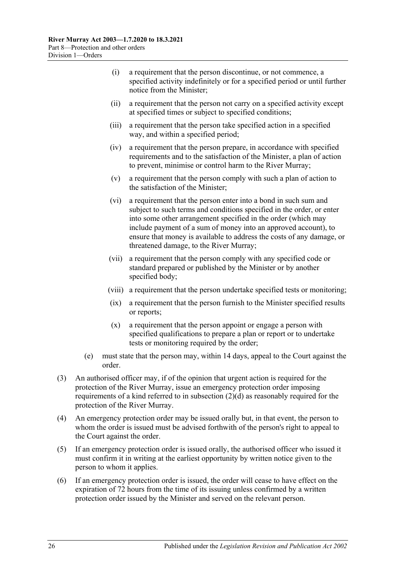- (i) a requirement that the person discontinue, or not commence, a specified activity indefinitely or for a specified period or until further notice from the Minister;
- (ii) a requirement that the person not carry on a specified activity except at specified times or subject to specified conditions;
- (iii) a requirement that the person take specified action in a specified way, and within a specified period;
- (iv) a requirement that the person prepare, in accordance with specified requirements and to the satisfaction of the Minister, a plan of action to prevent, minimise or control harm to the River Murray;
- (v) a requirement that the person comply with such a plan of action to the satisfaction of the Minister;
- (vi) a requirement that the person enter into a bond in such sum and subject to such terms and conditions specified in the order, or enter into some other arrangement specified in the order (which may include payment of a sum of money into an approved account), to ensure that money is available to address the costs of any damage, or threatened damage, to the River Murray;
- (vii) a requirement that the person comply with any specified code or standard prepared or published by the Minister or by another specified body;
- (viii) a requirement that the person undertake specified tests or monitoring;
- (ix) a requirement that the person furnish to the Minister specified results or reports;
- (x) a requirement that the person appoint or engage a person with specified qualifications to prepare a plan or report or to undertake tests or monitoring required by the order;
- (e) must state that the person may, within 14 days, appeal to the Court against the order.
- (3) An authorised officer may, if of the opinion that urgent action is required for the protection of the River Murray, issue an emergency protection order imposing requirements of a kind referred to in [subsection](#page-24-3) (2)(d) as reasonably required for the protection of the River Murray.
- (4) An emergency protection order may be issued orally but, in that event, the person to whom the order is issued must be advised forthwith of the person's right to appeal to the Court against the order.
- (5) If an emergency protection order is issued orally, the authorised officer who issued it must confirm it in writing at the earliest opportunity by written notice given to the person to whom it applies.
- (6) If an emergency protection order is issued, the order will cease to have effect on the expiration of 72 hours from the time of its issuing unless confirmed by a written protection order issued by the Minister and served on the relevant person.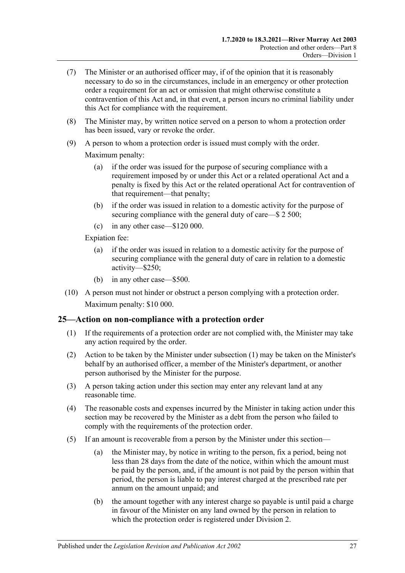- (7) The Minister or an authorised officer may, if of the opinion that it is reasonably necessary to do so in the circumstances, include in an emergency or other protection order a requirement for an act or omission that might otherwise constitute a contravention of this Act and, in that event, a person incurs no criminal liability under this Act for compliance with the requirement.
- (8) The Minister may, by written notice served on a person to whom a protection order has been issued, vary or revoke the order.
- (9) A person to whom a protection order is issued must comply with the order.

Maximum penalty:

- (a) if the order was issued for the purpose of securing compliance with a requirement imposed by or under this Act or a related operational Act and a penalty is fixed by this Act or the related operational Act for contravention of that requirement—that penalty;
- (b) if the order was issued in relation to a domestic activity for the purpose of securing compliance with the general duty of care—\$ 2 500;
- (c) in any other case—\$120 000.

Expiation fee:

- (a) if the order was issued in relation to a domestic activity for the purpose of securing compliance with the general duty of care in relation to a domestic activity—\$250;
- (b) in any other case—\$500.
- (10) A person must not hinder or obstruct a person complying with a protection order. Maximum penalty: \$10 000.

## <span id="page-26-1"></span><span id="page-26-0"></span>**25—Action on non-compliance with a protection order**

- (1) If the requirements of a protection order are not complied with, the Minister may take any action required by the order.
- (2) Action to be taken by the Minister under [subsection](#page-26-1) (1) may be taken on the Minister's behalf by an authorised officer, a member of the Minister's department, or another person authorised by the Minister for the purpose.
- (3) A person taking action under this section may enter any relevant land at any reasonable time.
- (4) The reasonable costs and expenses incurred by the Minister in taking action under this section may be recovered by the Minister as a debt from the person who failed to comply with the requirements of the protection order.
- (5) If an amount is recoverable from a person by the Minister under this section—
	- (a) the Minister may, by notice in writing to the person, fix a period, being not less than 28 days from the date of the notice, within which the amount must be paid by the person, and, if the amount is not paid by the person within that period, the person is liable to pay interest charged at the prescribed rate per annum on the amount unpaid; and
	- (b) the amount together with any interest charge so payable is until paid a charge in favour of the Minister on any land owned by the person in relation to which the protection order is registered under [Division 2.](#page-31-0)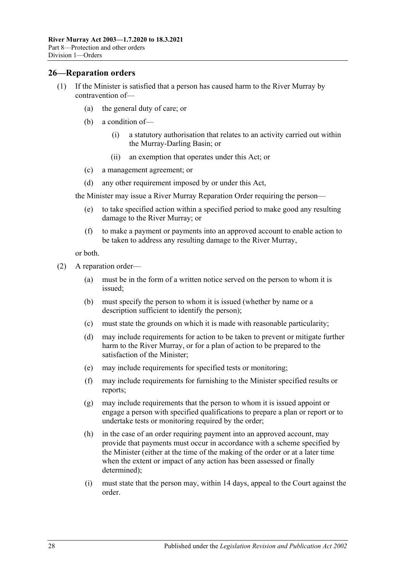#### <span id="page-27-0"></span>**26—Reparation orders**

- (1) If the Minister is satisfied that a person has caused harm to the River Murray by contravention of—
	- (a) the general duty of care; or
	- (b) a condition of—
		- (i) a statutory authorisation that relates to an activity carried out within the Murray-Darling Basin; or
		- (ii) an exemption that operates under this Act; or
	- (c) a management agreement; or
	- (d) any other requirement imposed by or under this Act,

the Minister may issue a River Murray Reparation Order requiring the person—

- (e) to take specified action within a specified period to make good any resulting damage to the River Murray; or
- (f) to make a payment or payments into an approved account to enable action to be taken to address any resulting damage to the River Murray,

or both.

- <span id="page-27-1"></span>(2) A reparation order—
	- (a) must be in the form of a written notice served on the person to whom it is issued;
	- (b) must specify the person to whom it is issued (whether by name or a description sufficient to identify the person);
	- (c) must state the grounds on which it is made with reasonable particularity;
	- (d) may include requirements for action to be taken to prevent or mitigate further harm to the River Murray, or for a plan of action to be prepared to the satisfaction of the Minister;
	- (e) may include requirements for specified tests or monitoring;
	- (f) may include requirements for furnishing to the Minister specified results or reports;
	- (g) may include requirements that the person to whom it is issued appoint or engage a person with specified qualifications to prepare a plan or report or to undertake tests or monitoring required by the order;
	- (h) in the case of an order requiring payment into an approved account, may provide that payments must occur in accordance with a scheme specified by the Minister (either at the time of the making of the order or at a later time when the extent or impact of any action has been assessed or finally determined);
	- (i) must state that the person may, within 14 days, appeal to the Court against the order.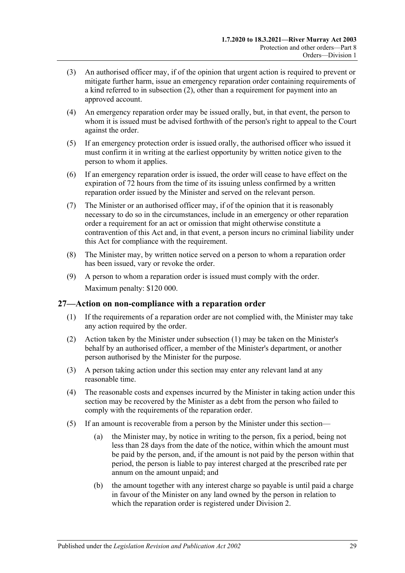- (3) An authorised officer may, if of the opinion that urgent action is required to prevent or mitigate further harm, issue an emergency reparation order containing requirements of a kind referred to in [subsection](#page-27-1) (2), other than a requirement for payment into an approved account.
- (4) An emergency reparation order may be issued orally, but, in that event, the person to whom it is issued must be advised forthwith of the person's right to appeal to the Court against the order.
- (5) If an emergency protection order is issued orally, the authorised officer who issued it must confirm it in writing at the earliest opportunity by written notice given to the person to whom it applies.
- (6) If an emergency reparation order is issued, the order will cease to have effect on the expiration of 72 hours from the time of its issuing unless confirmed by a written reparation order issued by the Minister and served on the relevant person.
- (7) The Minister or an authorised officer may, if of the opinion that it is reasonably necessary to do so in the circumstances, include in an emergency or other reparation order a requirement for an act or omission that might otherwise constitute a contravention of this Act and, in that event, a person incurs no criminal liability under this Act for compliance with the requirement.
- (8) The Minister may, by written notice served on a person to whom a reparation order has been issued, vary or revoke the order.
- (9) A person to whom a reparation order is issued must comply with the order. Maximum penalty: \$120 000.

## <span id="page-28-1"></span><span id="page-28-0"></span>**27—Action on non-compliance with a reparation order**

- (1) If the requirements of a reparation order are not complied with, the Minister may take any action required by the order.
- (2) Action taken by the Minister under [subsection](#page-28-1) (1) may be taken on the Minister's behalf by an authorised officer, a member of the Minister's department, or another person authorised by the Minister for the purpose.
- (3) A person taking action under this section may enter any relevant land at any reasonable time.
- (4) The reasonable costs and expenses incurred by the Minister in taking action under this section may be recovered by the Minister as a debt from the person who failed to comply with the requirements of the reparation order.
- (5) If an amount is recoverable from a person by the Minister under this section—
	- (a) the Minister may, by notice in writing to the person, fix a period, being not less than 28 days from the date of the notice, within which the amount must be paid by the person, and, if the amount is not paid by the person within that period, the person is liable to pay interest charged at the prescribed rate per annum on the amount unpaid; and
	- (b) the amount together with any interest charge so payable is until paid a charge in favour of the Minister on any land owned by the person in relation to which the reparation order is registered under [Division 2.](#page-31-0)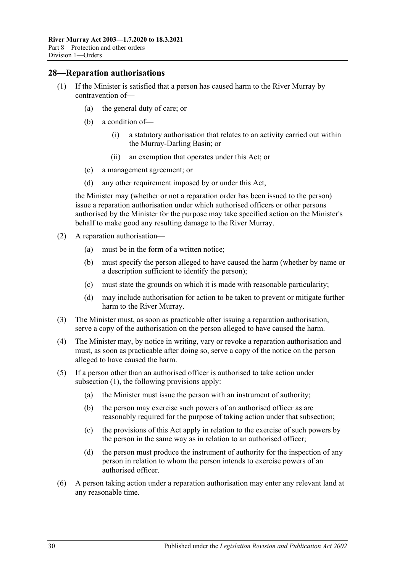#### <span id="page-29-1"></span><span id="page-29-0"></span>**28—Reparation authorisations**

- (1) If the Minister is satisfied that a person has caused harm to the River Murray by contravention of—
	- (a) the general duty of care; or
	- (b) a condition of—
		- (i) a statutory authorisation that relates to an activity carried out within the Murray-Darling Basin; or
		- (ii) an exemption that operates under this Act; or
	- (c) a management agreement; or
	- (d) any other requirement imposed by or under this Act,

the Minister may (whether or not a reparation order has been issued to the person) issue a reparation authorisation under which authorised officers or other persons authorised by the Minister for the purpose may take specified action on the Minister's behalf to make good any resulting damage to the River Murray.

- (2) A reparation authorisation—
	- (a) must be in the form of a written notice;
	- (b) must specify the person alleged to have caused the harm (whether by name or a description sufficient to identify the person);
	- (c) must state the grounds on which it is made with reasonable particularity;
	- (d) may include authorisation for action to be taken to prevent or mitigate further harm to the River Murray.
- (3) The Minister must, as soon as practicable after issuing a reparation authorisation, serve a copy of the authorisation on the person alleged to have caused the harm.
- (4) The Minister may, by notice in writing, vary or revoke a reparation authorisation and must, as soon as practicable after doing so, serve a copy of the notice on the person alleged to have caused the harm.
- (5) If a person other than an authorised officer is authorised to take action under [subsection](#page-29-1) (1), the following provisions apply:
	- (a) the Minister must issue the person with an instrument of authority;
	- (b) the person may exercise such powers of an authorised officer as are reasonably required for the purpose of taking action under that subsection;
	- (c) the provisions of this Act apply in relation to the exercise of such powers by the person in the same way as in relation to an authorised officer;
	- (d) the person must produce the instrument of authority for the inspection of any person in relation to whom the person intends to exercise powers of an authorised officer.
- (6) A person taking action under a reparation authorisation may enter any relevant land at any reasonable time.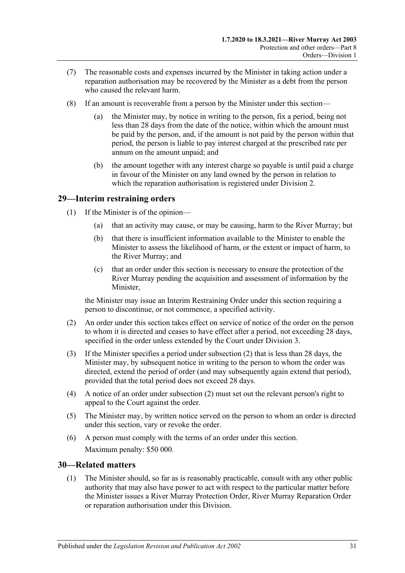- (7) The reasonable costs and expenses incurred by the Minister in taking action under a reparation authorisation may be recovered by the Minister as a debt from the person who caused the relevant harm.
- (8) If an amount is recoverable from a person by the Minister under this section—
	- (a) the Minister may, by notice in writing to the person, fix a period, being not less than 28 days from the date of the notice, within which the amount must be paid by the person, and, if the amount is not paid by the person within that period, the person is liable to pay interest charged at the prescribed rate per annum on the amount unpaid; and
	- (b) the amount together with any interest charge so payable is until paid a charge in favour of the Minister on any land owned by the person in relation to which the reparation authorisation is registered under [Division 2.](#page-31-0)

## <span id="page-30-0"></span>**29—Interim restraining orders**

- (1) If the Minister is of the opinion—
	- (a) that an activity may cause, or may be causing, harm to the River Murray; but
	- (b) that there is insufficient information available to the Minister to enable the Minister to assess the likelihood of harm, or the extent or impact of harm, to the River Murray; and
	- (c) that an order under this section is necessary to ensure the protection of the River Murray pending the acquisition and assessment of information by the Minister,

the Minister may issue an Interim Restraining Order under this section requiring a person to discontinue, or not commence, a specified activity.

- <span id="page-30-2"></span>(2) An order under this section takes effect on service of notice of the order on the person to whom it is directed and ceases to have effect after a period, not exceeding 28 days, specified in the order unless extended by the Court under [Division 3.](#page-32-1)
- (3) If the Minister specifies a period under [subsection](#page-30-2) (2) that is less than 28 days, the Minister may, by subsequent notice in writing to the person to whom the order was directed, extend the period of order (and may subsequently again extend that period), provided that the total period does not exceed 28 days.
- (4) A notice of an order under [subsection](#page-30-2) (2) must set out the relevant person's right to appeal to the Court against the order.
- (5) The Minister may, by written notice served on the person to whom an order is directed under this section, vary or revoke the order.
- (6) A person must comply with the terms of an order under this section. Maximum penalty: \$50 000.

## <span id="page-30-3"></span><span id="page-30-1"></span>**30—Related matters**

(1) The Minister should, so far as is reasonably practicable, consult with any other public authority that may also have power to act with respect to the particular matter before the Minister issues a River Murray Protection Order, River Murray Reparation Order or reparation authorisation under this Division.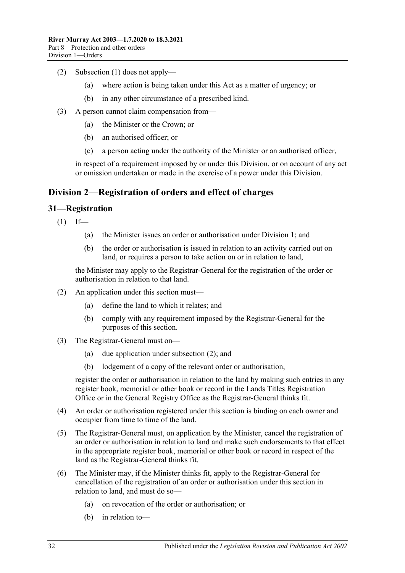- (2) [Subsection](#page-30-3) (1) does not apply—
	- (a) where action is being taken under this Act as a matter of urgency; or
	- (b) in any other circumstance of a prescribed kind.
- (3) A person cannot claim compensation from—
	- (a) the Minister or the Crown; or
	- (b) an authorised officer; or
	- (c) a person acting under the authority of the Minister or an authorised officer,

in respect of a requirement imposed by or under this Division, or on account of any act or omission undertaken or made in the exercise of a power under this Division.

## <span id="page-31-0"></span>**Division 2—Registration of orders and effect of charges**

## <span id="page-31-1"></span>**31—Registration**

 $(1)$  If—

- (a) the Minister issues an order or authorisation under [Division 1;](#page-24-1) and
- (b) the order or authorisation is issued in relation to an activity carried out on land, or requires a person to take action on or in relation to land,

the Minister may apply to the Registrar-General for the registration of the order or authorisation in relation to that land.

- <span id="page-31-2"></span>(2) An application under this section must—
	- (a) define the land to which it relates; and
	- (b) comply with any requirement imposed by the Registrar-General for the purposes of this section.
- (3) The Registrar-General must on—
	- (a) due application under [subsection](#page-31-2) (2); and
	- (b) lodgement of a copy of the relevant order or authorisation,

register the order or authorisation in relation to the land by making such entries in any register book, memorial or other book or record in the Lands Titles Registration Office or in the General Registry Office as the Registrar-General thinks fit.

- (4) An order or authorisation registered under this section is binding on each owner and occupier from time to time of the land.
- (5) The Registrar-General must, on application by the Minister, cancel the registration of an order or authorisation in relation to land and make such endorsements to that effect in the appropriate register book, memorial or other book or record in respect of the land as the Registrar-General thinks fit.
- (6) The Minister may, if the Minister thinks fit, apply to the Registrar-General for cancellation of the registration of an order or authorisation under this section in relation to land, and must do so—
	- (a) on revocation of the order or authorisation; or
	- (b) in relation to—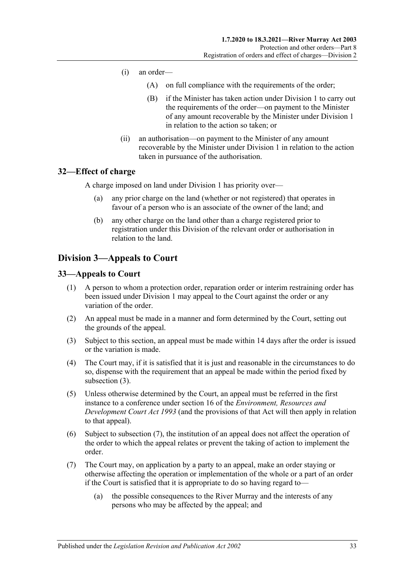- (i) an order—
	- (A) on full compliance with the requirements of the order;
	- (B) if the Minister has taken action under [Division 1](#page-24-1) to carry out the requirements of the order—on payment to the Minister of any amount recoverable by the Minister under [Division 1](#page-24-1) in relation to the action so taken; or
- (ii) an authorisation—on payment to the Minister of any amount recoverable by the Minister under [Division 1](#page-24-1) in relation to the action taken in pursuance of the authorisation.

## <span id="page-32-0"></span>**32—Effect of charge**

A charge imposed on land under [Division 1](#page-24-1) has priority over—

- (a) any prior charge on the land (whether or not registered) that operates in favour of a person who is an associate of the owner of the land; and
- (b) any other charge on the land other than a charge registered prior to registration under this Division of the relevant order or authorisation in relation to the land.

## <span id="page-32-1"></span>**Division 3—Appeals to Court**

## <span id="page-32-2"></span>**33—Appeals to Court**

- (1) A person to whom a protection order, reparation order or interim restraining order has been issued under [Division 1](#page-24-1) may appeal to the Court against the order or any variation of the order.
- (2) An appeal must be made in a manner and form determined by the Court, setting out the grounds of the appeal.
- <span id="page-32-3"></span>(3) Subject to this section, an appeal must be made within 14 days after the order is issued or the variation is made.
- (4) The Court may, if it is satisfied that it is just and reasonable in the circumstances to do so, dispense with the requirement that an appeal be made within the period fixed by [subsection](#page-32-3) (3).
- (5) Unless otherwise determined by the Court, an appeal must be referred in the first instance to a conference under section 16 of the *[Environment, Resources and](http://www.legislation.sa.gov.au/index.aspx?action=legref&type=act&legtitle=Environment%20Resources%20and%20Development%20Court%20Act%201993)  [Development Court Act](http://www.legislation.sa.gov.au/index.aspx?action=legref&type=act&legtitle=Environment%20Resources%20and%20Development%20Court%20Act%201993) 1993* (and the provisions of that Act will then apply in relation to that appeal).
- (6) Subject to [subsection](#page-32-4) (7), the institution of an appeal does not affect the operation of the order to which the appeal relates or prevent the taking of action to implement the order.
- <span id="page-32-4"></span>(7) The Court may, on application by a party to an appeal, make an order staying or otherwise affecting the operation or implementation of the whole or a part of an order if the Court is satisfied that it is appropriate to do so having regard to—
	- (a) the possible consequences to the River Murray and the interests of any persons who may be affected by the appeal; and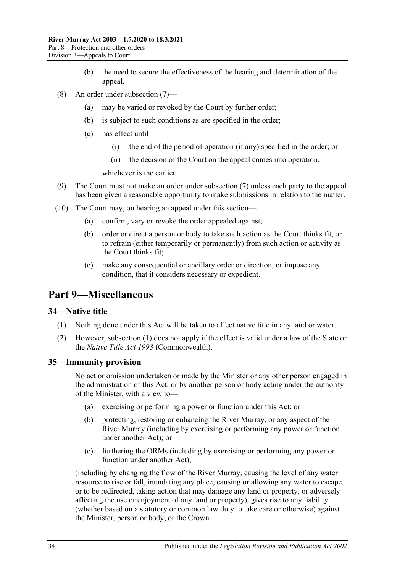- (b) the need to secure the effectiveness of the hearing and determination of the appeal.
- (8) An order under [subsection](#page-32-4) (7)—
	- (a) may be varied or revoked by the Court by further order;
	- (b) is subject to such conditions as are specified in the order;
	- (c) has effect until—
		- (i) the end of the period of operation (if any) specified in the order; or
		- (ii) the decision of the Court on the appeal comes into operation,

whichever is the earlier.

- (9) The Court must not make an order under [subsection](#page-32-4) (7) unless each party to the appeal has been given a reasonable opportunity to make submissions in relation to the matter.
- (10) The Court may, on hearing an appeal under this section—
	- (a) confirm, vary or revoke the order appealed against;
	- (b) order or direct a person or body to take such action as the Court thinks fit, or to refrain (either temporarily or permanently) from such action or activity as the Court thinks fit;
	- (c) make any consequential or ancillary order or direction, or impose any condition, that it considers necessary or expedient.

## <span id="page-33-0"></span>**Part 9—Miscellaneous**

## <span id="page-33-3"></span><span id="page-33-1"></span>**34—Native title**

- (1) Nothing done under this Act will be taken to affect native title in any land or water.
- (2) However, [subsection](#page-33-3) (1) does not apply if the effect is valid under a law of the State or the *Native Title Act 1993* (Commonwealth).

## <span id="page-33-2"></span>**35—Immunity provision**

No act or omission undertaken or made by the Minister or any other person engaged in the administration of this Act, or by another person or body acting under the authority of the Minister, with a view to—

- (a) exercising or performing a power or function under this Act; or
- (b) protecting, restoring or enhancing the River Murray, or any aspect of the River Murray (including by exercising or performing any power or function under another Act); or
- (c) furthering the ORMs (including by exercising or performing any power or function under another Act),

(including by changing the flow of the River Murray, causing the level of any water resource to rise or fall, inundating any place, causing or allowing any water to escape or to be redirected, taking action that may damage any land or property, or adversely affecting the use or enjoyment of any land or property), gives rise to any liability (whether based on a statutory or common law duty to take care or otherwise) against the Minister, person or body, or the Crown.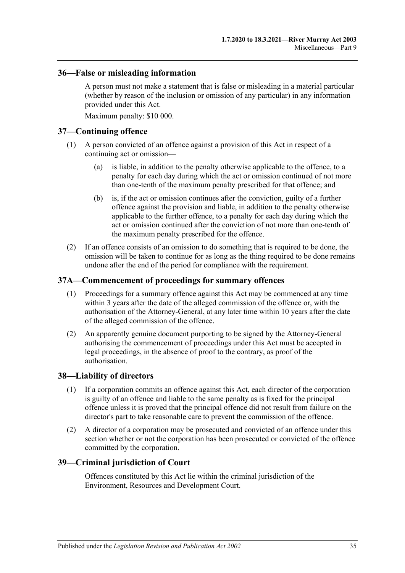## <span id="page-34-0"></span>**36—False or misleading information**

A person must not make a statement that is false or misleading in a material particular (whether by reason of the inclusion or omission of any particular) in any information provided under this Act.

Maximum penalty: \$10 000.

## <span id="page-34-1"></span>**37—Continuing offence**

- (1) A person convicted of an offence against a provision of this Act in respect of a continuing act or omission—
	- (a) is liable, in addition to the penalty otherwise applicable to the offence, to a penalty for each day during which the act or omission continued of not more than one-tenth of the maximum penalty prescribed for that offence; and
	- (b) is, if the act or omission continues after the conviction, guilty of a further offence against the provision and liable, in addition to the penalty otherwise applicable to the further offence, to a penalty for each day during which the act or omission continued after the conviction of not more than one-tenth of the maximum penalty prescribed for the offence.
- (2) If an offence consists of an omission to do something that is required to be done, the omission will be taken to continue for as long as the thing required to be done remains undone after the end of the period for compliance with the requirement.

## <span id="page-34-2"></span>**37A—Commencement of proceedings for summary offences**

- (1) Proceedings for a summary offence against this Act may be commenced at any time within 3 years after the date of the alleged commission of the offence or, with the authorisation of the Attorney-General, at any later time within 10 years after the date of the alleged commission of the offence.
- (2) An apparently genuine document purporting to be signed by the Attorney-General authorising the commencement of proceedings under this Act must be accepted in legal proceedings, in the absence of proof to the contrary, as proof of the authorisation.

## <span id="page-34-3"></span>**38—Liability of directors**

- (1) If a corporation commits an offence against this Act, each director of the corporation is guilty of an offence and liable to the same penalty as is fixed for the principal offence unless it is proved that the principal offence did not result from failure on the director's part to take reasonable care to prevent the commission of the offence.
- (2) A director of a corporation may be prosecuted and convicted of an offence under this section whether or not the corporation has been prosecuted or convicted of the offence committed by the corporation.

## <span id="page-34-4"></span>**39—Criminal jurisdiction of Court**

Offences constituted by this Act lie within the criminal jurisdiction of the Environment, Resources and Development Court.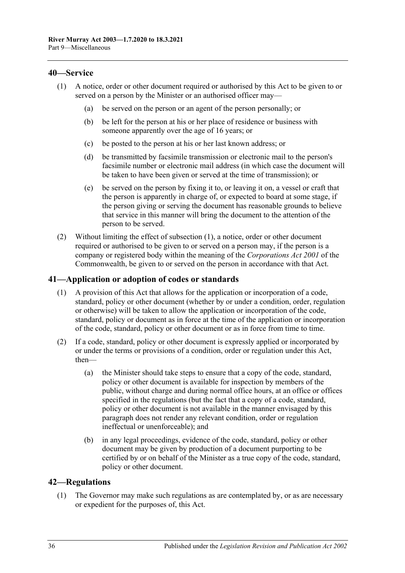## <span id="page-35-3"></span><span id="page-35-0"></span>**40—Service**

- (1) A notice, order or other document required or authorised by this Act to be given to or served on a person by the Minister or an authorised officer may—
	- (a) be served on the person or an agent of the person personally; or
	- (b) be left for the person at his or her place of residence or business with someone apparently over the age of 16 years; or
	- (c) be posted to the person at his or her last known address; or
	- (d) be transmitted by facsimile transmission or electronic mail to the person's facsimile number or electronic mail address (in which case the document will be taken to have been given or served at the time of transmission); or
	- (e) be served on the person by fixing it to, or leaving it on, a vessel or craft that the person is apparently in charge of, or expected to board at some stage, if the person giving or serving the document has reasonable grounds to believe that service in this manner will bring the document to the attention of the person to be served.
- (2) Without limiting the effect of [subsection](#page-35-3) (1), a notice, order or other document required or authorised to be given to or served on a person may, if the person is a company or registered body within the meaning of the *Corporations Act 2001* of the Commonwealth, be given to or served on the person in accordance with that Act.

## <span id="page-35-1"></span>**41—Application or adoption of codes or standards**

- (1) A provision of this Act that allows for the application or incorporation of a code, standard, policy or other document (whether by or under a condition, order, regulation or otherwise) will be taken to allow the application or incorporation of the code, standard, policy or document as in force at the time of the application or incorporation of the code, standard, policy or other document or as in force from time to time.
- (2) If a code, standard, policy or other document is expressly applied or incorporated by or under the terms or provisions of a condition, order or regulation under this Act, then—
	- (a) the Minister should take steps to ensure that a copy of the code, standard, policy or other document is available for inspection by members of the public, without charge and during normal office hours, at an office or offices specified in the regulations (but the fact that a copy of a code, standard, policy or other document is not available in the manner envisaged by this paragraph does not render any relevant condition, order or regulation ineffectual or unenforceable); and
	- (b) in any legal proceedings, evidence of the code, standard, policy or other document may be given by production of a document purporting to be certified by or on behalf of the Minister as a true copy of the code, standard, policy or other document.

## <span id="page-35-4"></span><span id="page-35-2"></span>**42—Regulations**

(1) The Governor may make such regulations as are contemplated by, or as are necessary or expedient for the purposes of, this Act.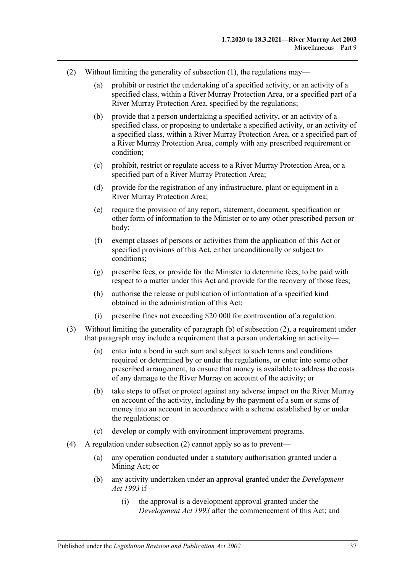- <span id="page-36-3"></span><span id="page-36-2"></span><span id="page-36-1"></span><span id="page-36-0"></span>(2) Without limiting the generality of [subsection](#page-35-4) (1), the regulations may—
	- (a) prohibit or restrict the undertaking of a specified activity, or an activity of a specified class, within a River Murray Protection Area, or a specified part of a River Murray Protection Area, specified by the regulations;
	- (b) provide that a person undertaking a specified activity, or an activity of a specified class, or proposing to undertake a specified activity, or an activity of a specified class, within a River Murray Protection Area, or a specified part of a River Murray Protection Area, comply with any prescribed requirement or condition;
	- (c) prohibit, restrict or regulate access to a River Murray Protection Area, or a specified part of a River Murray Protection Area;
	- (d) provide for the registration of any infrastructure, plant or equipment in a River Murray Protection Area;
	- (e) require the provision of any report, statement, document, specification or other form of information to the Minister or to any other prescribed person or body;
	- (f) exempt classes of persons or activities from the application of this Act or specified provisions of this Act, either unconditionally or subject to conditions;
	- (g) prescribe fees, or provide for the Minister to determine fees, to be paid with respect to a matter under this Act and provide for the recovery of those fees;
	- (h) authorise the release or publication of information of a specified kind obtained in the administration of this Act;
	- (i) prescribe fines not exceeding \$20 000 for contravention of a regulation.
- (3) Without limiting the generality of [paragraph](#page-36-0) (b) of [subsection](#page-36-1) (2), a requirement under that paragraph may include a requirement that a person undertaking an activity—
	- (a) enter into a bond in such sum and subject to such terms and conditions required or determined by or under the regulations, or enter into some other prescribed arrangement, to ensure that money is available to address the costs of any damage to the River Murray on account of the activity; or
	- (b) take steps to offset or protect against any adverse impact on the River Murray on account of the activity, including by the payment of a sum or sums of money into an account in accordance with a scheme established by or under the regulations; or
	- (c) develop or comply with environment improvement programs.
- (4) A regulation under [subsection](#page-36-1) (2) cannot apply so as to prevent—
	- (a) any operation conducted under a statutory authorisation granted under a Mining Act; or
	- (b) any activity undertaken under an approval granted under the *[Development](http://www.legislation.sa.gov.au/index.aspx?action=legref&type=act&legtitle=Development%20Act%201993)  Act [1993](http://www.legislation.sa.gov.au/index.aspx?action=legref&type=act&legtitle=Development%20Act%201993)* if—
		- (i) the approval is a development approval granted under the *[Development Act](http://www.legislation.sa.gov.au/index.aspx?action=legref&type=act&legtitle=Development%20Act%201993) 1993* after the commencement of this Act; and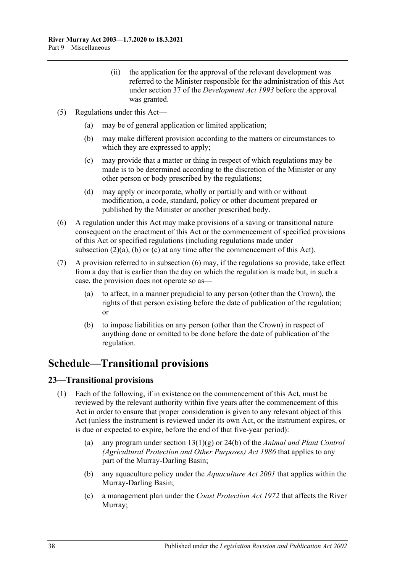- (ii) the application for the approval of the relevant development was referred to the Minister responsible for the administration of this Act under section 37 of the *[Development Act](http://www.legislation.sa.gov.au/index.aspx?action=legref&type=act&legtitle=Development%20Act%201993) 1993* before the approval was granted.
- (5) Regulations under this Act—
	- (a) may be of general application or limited application;
	- (b) may make different provision according to the matters or circumstances to which they are expressed to apply;
	- (c) may provide that a matter or thing in respect of which regulations may be made is to be determined according to the discretion of the Minister or any other person or body prescribed by the regulations;
	- (d) may apply or incorporate, wholly or partially and with or without modification, a code, standard, policy or other document prepared or published by the Minister or another prescribed body.
- <span id="page-37-2"></span>(6) A regulation under this Act may make provisions of a saving or transitional nature consequent on the enactment of this Act or the commencement of specified provisions of this Act or specified regulations (including regulations made under [subsection](#page-36-2) (2)(a), [\(b\)](#page-36-0) or [\(c\)](#page-36-3) at any time after the commencement of this Act).
- (7) A provision referred to in [subsection](#page-37-2) (6) may, if the regulations so provide, take effect from a day that is earlier than the day on which the regulation is made but, in such a case, the provision does not operate so as—
	- (a) to affect, in a manner prejudicial to any person (other than the Crown), the rights of that person existing before the date of publication of the regulation; or
	- (b) to impose liabilities on any person (other than the Crown) in respect of anything done or omitted to be done before the date of publication of the regulation.

## <span id="page-37-0"></span>**Schedule—Transitional provisions**

## <span id="page-37-1"></span>**23—Transitional provisions**

- (1) Each of the following, if in existence on the commencement of this Act, must be reviewed by the relevant authority within five years after the commencement of this Act in order to ensure that proper consideration is given to any relevant object of this Act (unless the instrument is reviewed under its own Act, or the instrument expires, or is due or expected to expire, before the end of that five-year period):
	- (a) any program under section 13(1)(g) or 24(b) of the *[Animal and Plant Control](http://www.legislation.sa.gov.au/index.aspx?action=legref&type=act&legtitle=Animal%20and%20Plant%20Control%20(Agricultural%20Protection%20and%20Other%20Purposes)%20Act%201986)  [\(Agricultural Protection and Other Purposes\) Act](http://www.legislation.sa.gov.au/index.aspx?action=legref&type=act&legtitle=Animal%20and%20Plant%20Control%20(Agricultural%20Protection%20and%20Other%20Purposes)%20Act%201986) 1986* that applies to any part of the Murray-Darling Basin;
	- (b) any aquaculture policy under the *[Aquaculture Act](http://www.legislation.sa.gov.au/index.aspx?action=legref&type=act&legtitle=Aquaculture%20Act%202001) 2001* that applies within the Murray-Darling Basin;
	- (c) a management plan under the *[Coast Protection Act](http://www.legislation.sa.gov.au/index.aspx?action=legref&type=act&legtitle=Coast%20Protection%20Act%201972) 1972* that affects the River Murray;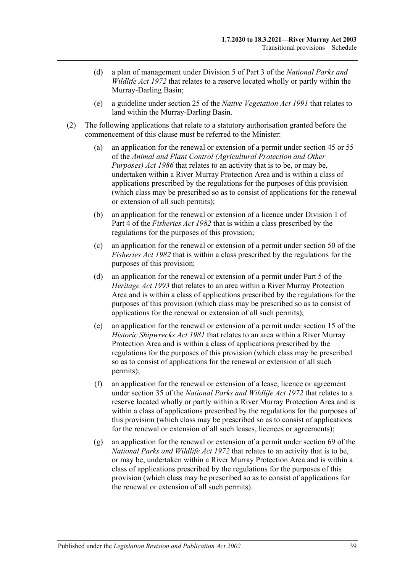- (d) a plan of management under Division 5 of Part 3 of the *[National Parks and](http://www.legislation.sa.gov.au/index.aspx?action=legref&type=act&legtitle=National%20Parks%20and%20Wildlife%20Act%201972)  [Wildlife Act](http://www.legislation.sa.gov.au/index.aspx?action=legref&type=act&legtitle=National%20Parks%20and%20Wildlife%20Act%201972) 1972* that relates to a reserve located wholly or partly within the Murray-Darling Basin;
- (e) a guideline under section 25 of the *[Native Vegetation Act](http://www.legislation.sa.gov.au/index.aspx?action=legref&type=act&legtitle=Native%20Vegetation%20Act%201991) 1991* that relates to land within the Murray-Darling Basin.
- <span id="page-38-0"></span>(2) The following applications that relate to a statutory authorisation granted before the commencement of this clause must be referred to the Minister:
	- (a) an application for the renewal or extension of a permit under section 45 or 55 of the *[Animal and Plant Control \(Agricultural Protection and Other](http://www.legislation.sa.gov.au/index.aspx?action=legref&type=act&legtitle=Animal%20and%20Plant%20Control%20(Agricultural%20Protection%20and%20Other%20Purposes)%20Act%201986)  [Purposes\) Act](http://www.legislation.sa.gov.au/index.aspx?action=legref&type=act&legtitle=Animal%20and%20Plant%20Control%20(Agricultural%20Protection%20and%20Other%20Purposes)%20Act%201986) 1986* that relates to an activity that is to be, or may be, undertaken within a River Murray Protection Area and is within a class of applications prescribed by the regulations for the purposes of this provision (which class may be prescribed so as to consist of applications for the renewal or extension of all such permits);
	- (b) an application for the renewal or extension of a licence under Division 1 of Part 4 of the *[Fisheries Act](http://www.legislation.sa.gov.au/index.aspx?action=legref&type=act&legtitle=Fisheries%20Act%201982) 1982* that is within a class prescribed by the regulations for the purposes of this provision;
	- (c) an application for the renewal or extension of a permit under section 50 of the *[Fisheries Act](http://www.legislation.sa.gov.au/index.aspx?action=legref&type=act&legtitle=Fisheries%20Act%201982) 1982* that is within a class prescribed by the regulations for the purposes of this provision;
	- (d) an application for the renewal or extension of a permit under Part 5 of the *[Heritage Act](http://www.legislation.sa.gov.au/index.aspx?action=legref&type=act&legtitle=Heritage%20Act%201993) 1993* that relates to an area within a River Murray Protection Area and is within a class of applications prescribed by the regulations for the purposes of this provision (which class may be prescribed so as to consist of applications for the renewal or extension of all such permits);
	- (e) an application for the renewal or extension of a permit under section 15 of the *[Historic Shipwrecks Act](http://www.legislation.sa.gov.au/index.aspx?action=legref&type=act&legtitle=Historic%20Shipwrecks%20Act%201981) 1981* that relates to an area within a River Murray Protection Area and is within a class of applications prescribed by the regulations for the purposes of this provision (which class may be prescribed so as to consist of applications for the renewal or extension of all such permits);
	- (f) an application for the renewal or extension of a lease, licence or agreement under section 35 of the *[National Parks and Wildlife Act](http://www.legislation.sa.gov.au/index.aspx?action=legref&type=act&legtitle=National%20Parks%20and%20Wildlife%20Act%201972) 1972* that relates to a reserve located wholly or partly within a River Murray Protection Area and is within a class of applications prescribed by the regulations for the purposes of this provision (which class may be prescribed so as to consist of applications for the renewal or extension of all such leases, licences or agreements);
	- (g) an application for the renewal or extension of a permit under section 69 of the *[National Parks and Wildlife Act](http://www.legislation.sa.gov.au/index.aspx?action=legref&type=act&legtitle=National%20Parks%20and%20Wildlife%20Act%201972) 1972* that relates to an activity that is to be, or may be, undertaken within a River Murray Protection Area and is within a class of applications prescribed by the regulations for the purposes of this provision (which class may be prescribed so as to consist of applications for the renewal or extension of all such permits).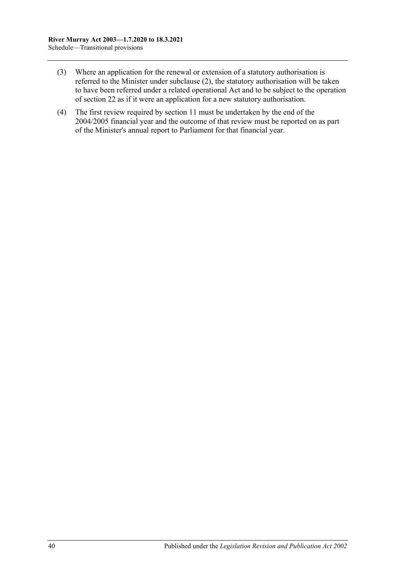- (3) Where an application for the renewal or extension of a statutory authorisation is referred to the Minister under [subclause](#page-38-0) (2), the statutory authorisation will be taken to have been referred under a related operational Act and to be subject to the operation of [section](#page-19-1) 22 as if it were an application for a new statutory authorisation.
- (4) The first review required by [section](#page-11-1) 11 must be undertaken by the end of the 2004/2005 financial year and the outcome of that review must be reported on as part of the Minister's annual report to Parliament for that financial year.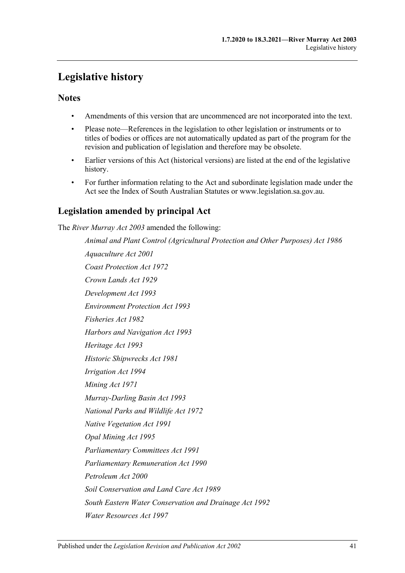## <span id="page-40-0"></span>**Legislative history**

## **Notes**

- Amendments of this version that are uncommenced are not incorporated into the text.
- Please note—References in the legislation to other legislation or instruments or to titles of bodies or offices are not automatically updated as part of the program for the revision and publication of legislation and therefore may be obsolete.
- Earlier versions of this Act (historical versions) are listed at the end of the legislative history.
- For further information relating to the Act and subordinate legislation made under the Act see the Index of South Australian Statutes or www.legislation.sa.gov.au.

## **Legislation amended by principal Act**

The *River Murray Act 2003* amended the following:

*Animal and Plant Control (Agricultural Protection and Other Purposes) Act 1986 Aquaculture Act 2001 Coast Protection Act 1972 Crown Lands Act 1929 Development Act 1993 Environment Protection Act 1993 Fisheries Act 1982 Harbors and Navigation Act 1993 Heritage Act 1993 Historic Shipwrecks Act 1981 Irrigation Act 1994 Mining Act 1971 Murray-Darling Basin Act 1993 National Parks and Wildlife Act 1972 Native Vegetation Act 1991 Opal Mining Act 1995 Parliamentary Committees Act 1991 Parliamentary Remuneration Act 1990 Petroleum Act 2000 Soil Conservation and Land Care Act 1989 South Eastern Water Conservation and Drainage Act 1992 Water Resources Act 1997*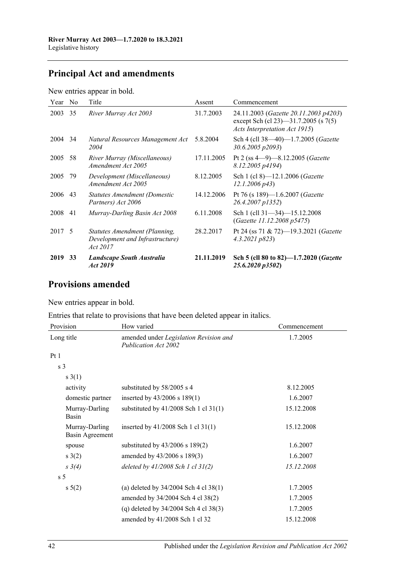## **Principal Act and amendments**

New entries appear in bold.

| Year    | No | Title                                                                        | Assent     | Commencement                                                                                                   |
|---------|----|------------------------------------------------------------------------------|------------|----------------------------------------------------------------------------------------------------------------|
| 2003    | 35 | River Murray Act 2003                                                        | 31.7.2003  | 24.11.2003 (Gazette 20.11.2003 p4203)<br>except Sch (cl 23)—31.7.2005 (s 7(5)<br>Acts Interpretation Act 1915) |
| 2004 34 |    | Natural Resources Management Act<br>2004                                     | 5.8.2004   | Sch 4 (cll 38-40)-1.7.2005 (Gazette<br>30.6.2005 p2093)                                                        |
| 2005    | 58 | River Murray (Miscellaneous)<br>Amendment Act 2005                           | 17.11.2005 | Pt 2 (ss $4-9$ )-8.12.2005 ( <i>Gazette</i><br>8.12.2005 p4194)                                                |
| 2005    | 79 | Development (Miscellaneous)<br>Amendment Act 2005                            | 8.12.2005  | Sch 1 (cl 8)-12.1.2006 (Gazette<br>$12.1.2006\ p43$                                                            |
| 2006    | 43 | Statutes Amendment (Domestic<br>Partners) Act 2006                           | 14.12.2006 | Pt 76 (s 189)-1.6.2007 (Gazette<br>26.4.2007 p1352)                                                            |
| 2008    | 41 | Murray-Darling Basin Act 2008                                                | 6.11.2008  | Sch 1 (cll 31-34)-15.12.2008<br>(Gazette 11.12.2008 p5475)                                                     |
| 2017 5  |    | Statutes Amendment (Planning,<br>Development and Infrastructure)<br>Act 2017 | 28.2.2017  | Pt 24 (ss 71 & 72)-19.3.2021 (Gazette<br>4.3.2021 p823                                                         |
| 2019    | 33 | Landscape South Australia<br>Act 2019                                        | 21.11.2019 | Sch 5 (cll 80 to 82)-1.7.2020 (Gazette<br>25.6.2020 p3502)                                                     |

## **Provisions amended**

New entries appear in bold.

Entries that relate to provisions that have been deleted appear in italics.

| Provision                         | How varied                                                            | Commencement |  |
|-----------------------------------|-----------------------------------------------------------------------|--------------|--|
| Long title                        | amended under Legislation Revision and<br><b>Publication Act 2002</b> | 1.7.2005     |  |
| Pt1                               |                                                                       |              |  |
| s <sub>3</sub>                    |                                                                       |              |  |
| s(1)                              |                                                                       |              |  |
| activity                          | substituted by 58/2005 s 4                                            | 8.12.2005    |  |
| domestic partner                  | inserted by $43/2006$ s $189(1)$                                      | 1.6.2007     |  |
| Murray-Darling<br>Basin           | substituted by $41/2008$ Sch 1 cl 31(1)                               | 15.12.2008   |  |
| Murray-Darling<br>Basin Agreement | inserted by $41/2008$ Sch 1 cl $31(1)$                                | 15.12.2008   |  |
| spouse                            | substituted by $43/2006$ s $189(2)$                                   | 1.6.2007     |  |
| s(2)                              | amended by 43/2006 s 189(3)                                           | 1.6.2007     |  |
| $s \; 3(4)$                       | deleted by $41/2008$ Sch 1 cl $31(2)$                                 | 15.12.2008   |  |
| s <sub>5</sub>                    |                                                                       |              |  |
| $s\ 5(2)$                         | (a) deleted by $34/2004$ Sch 4 cl $38(1)$                             | 1.7.2005     |  |
|                                   | amended by 34/2004 Sch 4 cl 38(2)                                     | 1.7.2005     |  |
|                                   | (q) deleted by $34/2004$ Sch 4 cl $38(3)$                             | 1.7.2005     |  |
|                                   | amended by 41/2008 Sch 1 cl 32                                        | 15.12.2008   |  |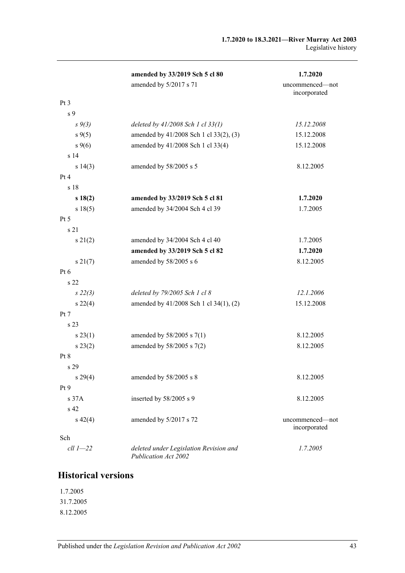|              | amended by 33/2019 Sch 5 cl 80                                 | 1.7.2020                        |
|--------------|----------------------------------------------------------------|---------------------------------|
|              | amended by 5/2017 s 71                                         | uncommenced-not<br>incorporated |
| Pt 3         |                                                                |                                 |
| s 9          |                                                                |                                 |
| $s \, 9(3)$  | deleted by $41/2008$ Sch 1 cl $33(1)$                          | 15.12.2008                      |
| $s \, 9(5)$  | amended by 41/2008 Sch 1 cl 33(2), (3)                         | 15.12.2008                      |
| $s \, 9(6)$  | amended by 41/2008 Sch 1 cl 33(4)                              | 15.12.2008                      |
| s 14         |                                                                |                                 |
| s 14(3)      | amended by 58/2005 s 5                                         | 8.12.2005                       |
| Pt 4         |                                                                |                                 |
| s 18         |                                                                |                                 |
| s18(2)       | amended by 33/2019 Sch 5 cl 81                                 | 1.7.2020                        |
| s 18(5)      | amended by 34/2004 Sch 4 cl 39                                 | 1.7.2005                        |
| Pt 5         |                                                                |                                 |
| s 21         |                                                                |                                 |
| $s \, 21(2)$ | amended by 34/2004 Sch 4 cl 40                                 | 1.7.2005                        |
|              | amended by 33/2019 Sch 5 cl 82                                 | 1.7.2020                        |
| s 21(7)      | amended by 58/2005 s 6                                         | 8.12.2005                       |
| $Pt\ 6$      |                                                                |                                 |
| s 22         |                                                                |                                 |
| $s\,22(3)$   | deleted by 79/2005 Sch 1 cl 8                                  | 12.1.2006                       |
| $s\,22(4)$   | amended by 41/2008 Sch 1 cl 34(1), (2)                         | 15.12.2008                      |
| Pt 7         |                                                                |                                 |
| s 23         |                                                                |                                 |
| s 23(1)      | amended by 58/2005 s 7(1)                                      | 8.12.2005                       |
| $s\,23(2)$   | amended by 58/2005 s 7(2)                                      | 8.12.2005                       |
| Pt 8         |                                                                |                                 |
| s 29         |                                                                |                                 |
| s 29(4)      | amended by 58/2005 s 8                                         | 8.12.2005                       |
| Pt 9         |                                                                |                                 |
| s 37A        | inserted by 58/2005 s 9                                        | 8.12.2005                       |
| s 42         |                                                                |                                 |
| $s\ 42(4)$   | amended by 5/2017 s 72                                         | uncommenced—not<br>incorporated |
| Sch          |                                                                |                                 |
| $ell 1 - 22$ | deleted under Legislation Revision and<br>Publication Act 2002 | 1.7.2005                        |

## **Historical versions**

1.7.2005 31.7.2005 8.12.2005